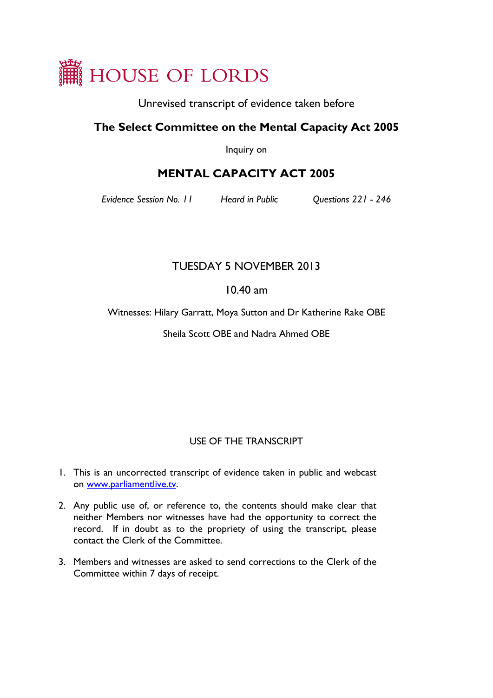

Unrevised transcript of evidence taken before

# **The Select Committee on the Mental Capacity Act 2005**

Inquiry on

# **MENTAL CAPACITY ACT 2005**

*Evidence Session No. 11 Heard in Public Questions 221 - 246*

# TUESDAY 5 NOVEMBER 2013

# 10.40 am

Witnesses: Hilary Garratt, Moya Sutton and Dr Katherine Rake OBE

Sheila Scott OBE and Nadra Ahmed OBE

## USE OF THE TRANSCRIPT

- 1. This is an uncorrected transcript of evidence taken in public and webcast on [www.parliamentlive.tv.](http://www.parliamentlive.tv/)
- 2. Any public use of, or reference to, the contents should make clear that neither Members nor witnesses have had the opportunity to correct the record. If in doubt as to the propriety of using the transcript, please contact the Clerk of the Committee.
- 3. Members and witnesses are asked to send corrections to the Clerk of the Committee within 7 days of receipt.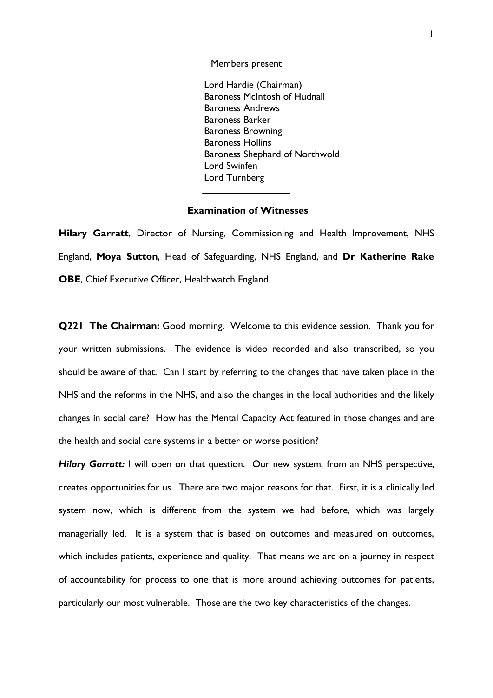Members present

Lord Hardie (Chairman) Baroness McIntosh of Hudnall Baroness Andrews Baroness Barker Baroness Browning Baroness Hollins Baroness Shephard of Northwold Lord Swinfen Lord Turnberg

### **Examination of Witnesses**

 $\overline{\phantom{a}}$ 

**Hilary Garratt**, Director of Nursing, Commissioning and Health Improvement, NHS England, **Moya Sutton**, Head of Safeguarding, NHS England, and **Dr Katherine Rake OBE**, Chief Executive Officer, Healthwatch England

**Q221 The Chairman:** Good morning. Welcome to this evidence session. Thank you for your written submissions. The evidence is video recorded and also transcribed, so you should be aware of that. Can I start by referring to the changes that have taken place in the NHS and the reforms in the NHS, and also the changes in the local authorities and the likely changes in social care? How has the Mental Capacity Act featured in those changes and are the health and social care systems in a better or worse position?

*Hilary Garratt:* I will open on that question. Our new system, from an NHS perspective, creates opportunities for us. There are two major reasons for that. First, it is a clinically led system now, which is different from the system we had before, which was largely managerially led. It is a system that is based on outcomes and measured on outcomes, which includes patients, experience and quality. That means we are on a journey in respect of accountability for process to one that is more around achieving outcomes for patients, particularly our most vulnerable. Those are the two key characteristics of the changes.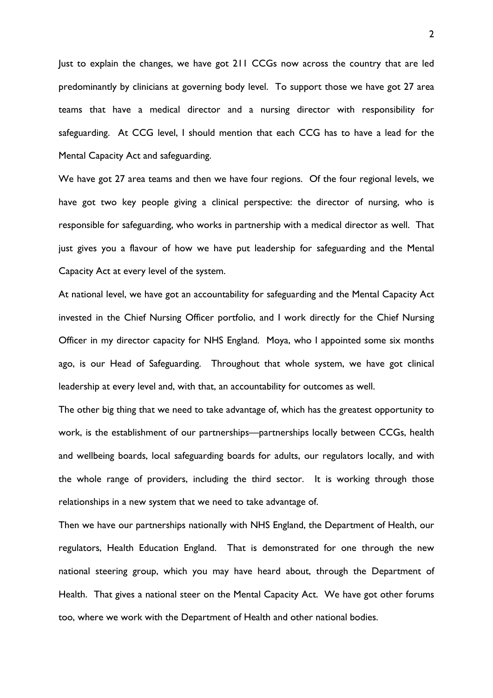Just to explain the changes, we have got 211 CCGs now across the country that are led predominantly by clinicians at governing body level. To support those we have got 27 area teams that have a medical director and a nursing director with responsibility for safeguarding. At CCG level, I should mention that each CCG has to have a lead for the Mental Capacity Act and safeguarding.

We have got 27 area teams and then we have four regions. Of the four regional levels, we have got two key people giving a clinical perspective: the director of nursing, who is responsible for safeguarding, who works in partnership with a medical director as well. That just gives you a flavour of how we have put leadership for safeguarding and the Mental Capacity Act at every level of the system.

At national level, we have got an accountability for safeguarding and the Mental Capacity Act invested in the Chief Nursing Officer portfolio, and I work directly for the Chief Nursing Officer in my director capacity for NHS England. Moya, who I appointed some six months ago, is our Head of Safeguarding. Throughout that whole system, we have got clinical leadership at every level and, with that, an accountability for outcomes as well.

The other big thing that we need to take advantage of, which has the greatest opportunity to work, is the establishment of our partnerships—partnerships locally between CCGs, health and wellbeing boards, local safeguarding boards for adults, our regulators locally, and with the whole range of providers, including the third sector. It is working through those relationships in a new system that we need to take advantage of.

Then we have our partnerships nationally with NHS England, the Department of Health, our regulators, Health Education England. That is demonstrated for one through the new national steering group, which you may have heard about, through the Department of Health. That gives a national steer on the Mental Capacity Act. We have got other forums too, where we work with the Department of Health and other national bodies.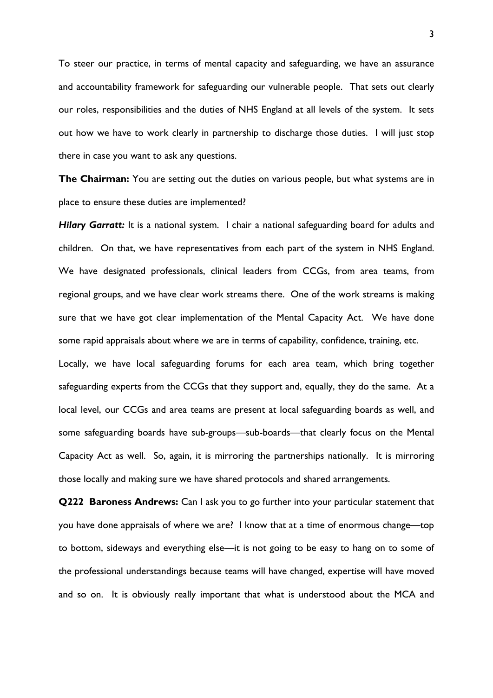To steer our practice, in terms of mental capacity and safeguarding, we have an assurance and accountability framework for safeguarding our vulnerable people. That sets out clearly our roles, responsibilities and the duties of NHS England at all levels of the system. It sets out how we have to work clearly in partnership to discharge those duties. I will just stop there in case you want to ask any questions.

**The Chairman:** You are setting out the duties on various people, but what systems are in place to ensure these duties are implemented?

*Hilary Garratt:* It is a national system. I chair a national safeguarding board for adults and children. On that, we have representatives from each part of the system in NHS England. We have designated professionals, clinical leaders from CCGs, from area teams, from regional groups, and we have clear work streams there. One of the work streams is making sure that we have got clear implementation of the Mental Capacity Act. We have done some rapid appraisals about where we are in terms of capability, confidence, training, etc.

Locally, we have local safeguarding forums for each area team, which bring together safeguarding experts from the CCGs that they support and, equally, they do the same. At a local level, our CCGs and area teams are present at local safeguarding boards as well, and some safeguarding boards have sub-groups—sub-boards—that clearly focus on the Mental Capacity Act as well. So, again, it is mirroring the partnerships nationally. It is mirroring those locally and making sure we have shared protocols and shared arrangements.

**Q222 Baroness Andrews:** Can I ask you to go further into your particular statement that you have done appraisals of where we are? I know that at a time of enormous change—top to bottom, sideways and everything else—it is not going to be easy to hang on to some of the professional understandings because teams will have changed, expertise will have moved and so on. It is obviously really important that what is understood about the MCA and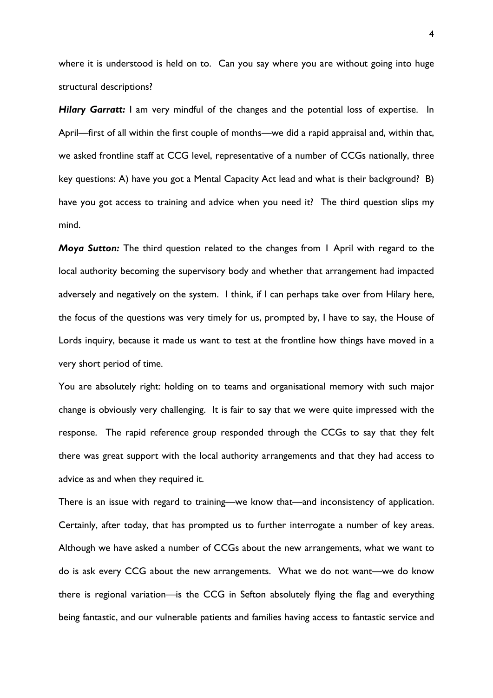where it is understood is held on to. Can you say where you are without going into huge structural descriptions?

*Hilary Garratt:* I am very mindful of the changes and the potential loss of expertise. In April—first of all within the first couple of months—we did a rapid appraisal and, within that, we asked frontline staff at CCG level, representative of a number of CCGs nationally, three key questions: A) have you got a Mental Capacity Act lead and what is their background? B) have you got access to training and advice when you need it? The third question slips my mind.

*Moya Sutton:* The third question related to the changes from 1 April with regard to the local authority becoming the supervisory body and whether that arrangement had impacted adversely and negatively on the system. I think, if I can perhaps take over from Hilary here, the focus of the questions was very timely for us, prompted by, I have to say, the House of Lords inquiry, because it made us want to test at the frontline how things have moved in a very short period of time.

You are absolutely right: holding on to teams and organisational memory with such major change is obviously very challenging. It is fair to say that we were quite impressed with the response. The rapid reference group responded through the CCGs to say that they felt there was great support with the local authority arrangements and that they had access to advice as and when they required it.

There is an issue with regard to training—we know that—and inconsistency of application. Certainly, after today, that has prompted us to further interrogate a number of key areas. Although we have asked a number of CCGs about the new arrangements, what we want to do is ask every CCG about the new arrangements. What we do not want—we do know there is regional variation—is the CCG in Sefton absolutely flying the flag and everything being fantastic, and our vulnerable patients and families having access to fantastic service and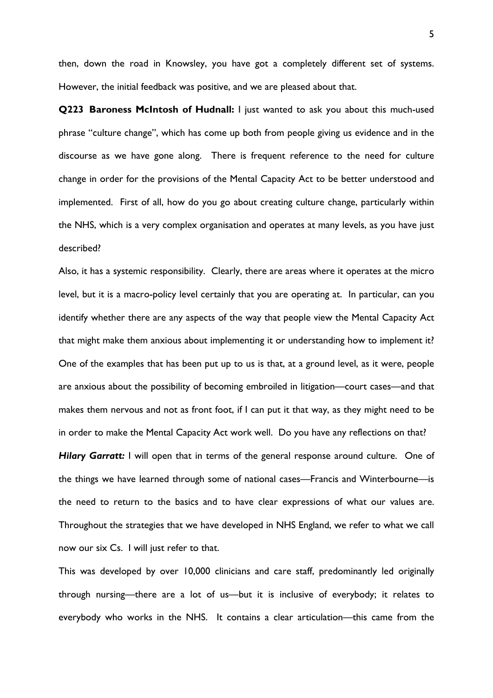then, down the road in Knowsley, you have got a completely different set of systems. However, the initial feedback was positive, and we are pleased about that.

**Q223 Baroness McIntosh of Hudnall:** I just wanted to ask you about this much-used phrase "culture change", which has come up both from people giving us evidence and in the discourse as we have gone along. There is frequent reference to the need for culture change in order for the provisions of the Mental Capacity Act to be better understood and implemented. First of all, how do you go about creating culture change, particularly within the NHS, which is a very complex organisation and operates at many levels, as you have just described?

Also, it has a systemic responsibility. Clearly, there are areas where it operates at the micro level, but it is a macro-policy level certainly that you are operating at. In particular, can you identify whether there are any aspects of the way that people view the Mental Capacity Act that might make them anxious about implementing it or understanding how to implement it? One of the examples that has been put up to us is that, at a ground level, as it were, people are anxious about the possibility of becoming embroiled in litigation—court cases—and that makes them nervous and not as front foot, if I can put it that way, as they might need to be in order to make the Mental Capacity Act work well. Do you have any reflections on that?

*Hilary Garratt:* I will open that in terms of the general response around culture. One of the things we have learned through some of national cases—Francis and Winterbourne—is the need to return to the basics and to have clear expressions of what our values are. Throughout the strategies that we have developed in NHS England, we refer to what we call now our six Cs. I will just refer to that.

This was developed by over 10,000 clinicians and care staff, predominantly led originally through nursing—there are a lot of us—but it is inclusive of everybody; it relates to everybody who works in the NHS. It contains a clear articulation—this came from the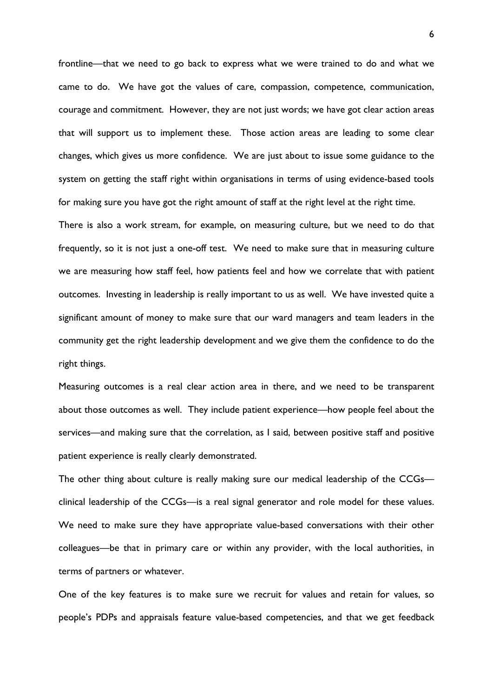frontline—that we need to go back to express what we were trained to do and what we came to do. We have got the values of care, compassion, competence, communication, courage and commitment. However, they are not just words; we have got clear action areas that will support us to implement these. Those action areas are leading to some clear changes, which gives us more confidence. We are just about to issue some guidance to the system on getting the staff right within organisations in terms of using evidence-based tools for making sure you have got the right amount of staff at the right level at the right time.

There is also a work stream, for example, on measuring culture, but we need to do that frequently, so it is not just a one-off test. We need to make sure that in measuring culture we are measuring how staff feel, how patients feel and how we correlate that with patient outcomes. Investing in leadership is really important to us as well. We have invested quite a significant amount of money to make sure that our ward managers and team leaders in the community get the right leadership development and we give them the confidence to do the right things.

Measuring outcomes is a real clear action area in there, and we need to be transparent about those outcomes as well. They include patient experience—how people feel about the services—and making sure that the correlation, as I said, between positive staff and positive patient experience is really clearly demonstrated.

The other thing about culture is really making sure our medical leadership of the CCGs clinical leadership of the CCGs—is a real signal generator and role model for these values. We need to make sure they have appropriate value-based conversations with their other colleagues—be that in primary care or within any provider, with the local authorities, in terms of partners or whatever.

One of the key features is to make sure we recruit for values and retain for values, so people's PDPs and appraisals feature value-based competencies, and that we get feedback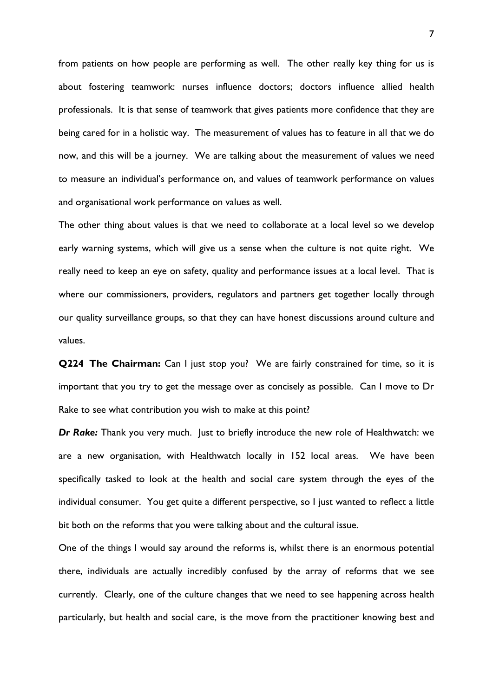from patients on how people are performing as well. The other really key thing for us is about fostering teamwork: nurses influence doctors; doctors influence allied health professionals. It is that sense of teamwork that gives patients more confidence that they are being cared for in a holistic way. The measurement of values has to feature in all that we do now, and this will be a journey. We are talking about the measurement of values we need to measure an individual's performance on, and values of teamwork performance on values and organisational work performance on values as well.

The other thing about values is that we need to collaborate at a local level so we develop early warning systems, which will give us a sense when the culture is not quite right. We really need to keep an eye on safety, quality and performance issues at a local level. That is where our commissioners, providers, regulators and partners get together locally through our quality surveillance groups, so that they can have honest discussions around culture and values.

**Q224 The Chairman:** Can I just stop you? We are fairly constrained for time, so it is important that you try to get the message over as concisely as possible. Can I move to Dr Rake to see what contribution you wish to make at this point?

**Dr Rake:** Thank you very much. Just to briefly introduce the new role of Healthwatch: we are a new organisation, with Healthwatch locally in 152 local areas. We have been specifically tasked to look at the health and social care system through the eyes of the individual consumer. You get quite a different perspective, so I just wanted to reflect a little bit both on the reforms that you were talking about and the cultural issue.

One of the things I would say around the reforms is, whilst there is an enormous potential there, individuals are actually incredibly confused by the array of reforms that we see currently. Clearly, one of the culture changes that we need to see happening across health particularly, but health and social care, is the move from the practitioner knowing best and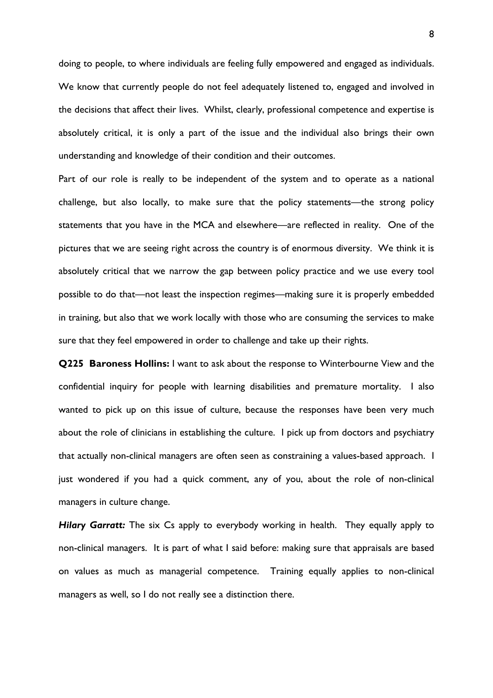doing to people, to where individuals are feeling fully empowered and engaged as individuals. We know that currently people do not feel adequately listened to, engaged and involved in the decisions that affect their lives. Whilst, clearly, professional competence and expertise is absolutely critical, it is only a part of the issue and the individual also brings their own understanding and knowledge of their condition and their outcomes.

Part of our role is really to be independent of the system and to operate as a national challenge, but also locally, to make sure that the policy statements—the strong policy statements that you have in the MCA and elsewhere—are reflected in reality. One of the pictures that we are seeing right across the country is of enormous diversity. We think it is absolutely critical that we narrow the gap between policy practice and we use every tool possible to do that—not least the inspection regimes—making sure it is properly embedded in training, but also that we work locally with those who are consuming the services to make sure that they feel empowered in order to challenge and take up their rights.

**Q225 Baroness Hollins:** I want to ask about the response to Winterbourne View and the confidential inquiry for people with learning disabilities and premature mortality. I also wanted to pick up on this issue of culture, because the responses have been very much about the role of clinicians in establishing the culture. I pick up from doctors and psychiatry that actually non-clinical managers are often seen as constraining a values-based approach. I just wondered if you had a quick comment, any of you, about the role of non-clinical managers in culture change.

*Hilary Garratt:* The six Cs apply to everybody working in health. They equally apply to non-clinical managers. It is part of what I said before: making sure that appraisals are based on values as much as managerial competence. Training equally applies to non-clinical managers as well, so I do not really see a distinction there.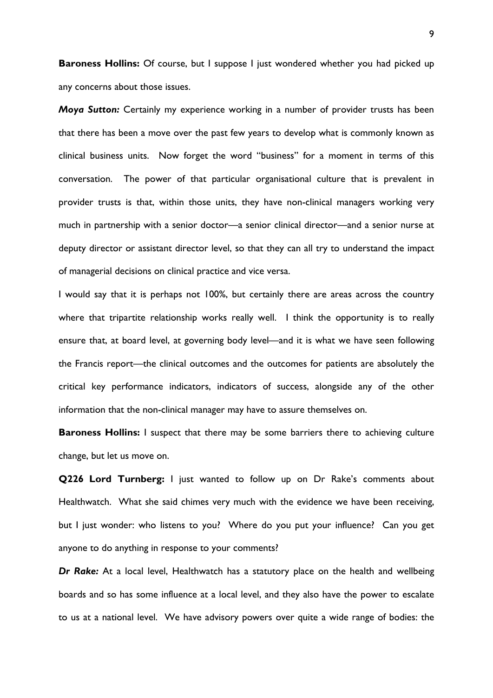**Baroness Hollins:** Of course, but I suppose I just wondered whether you had picked up any concerns about those issues.

*Moya Sutton:* Certainly my experience working in a number of provider trusts has been that there has been a move over the past few years to develop what is commonly known as clinical business units. Now forget the word "business" for a moment in terms of this conversation. The power of that particular organisational culture that is prevalent in provider trusts is that, within those units, they have non-clinical managers working very much in partnership with a senior doctor—a senior clinical director—and a senior nurse at deputy director or assistant director level, so that they can all try to understand the impact of managerial decisions on clinical practice and vice versa.

I would say that it is perhaps not 100%, but certainly there are areas across the country where that tripartite relationship works really well. I think the opportunity is to really ensure that, at board level, at governing body level—and it is what we have seen following the Francis report—the clinical outcomes and the outcomes for patients are absolutely the critical key performance indicators, indicators of success, alongside any of the other information that the non-clinical manager may have to assure themselves on.

**Baroness Hollins:** I suspect that there may be some barriers there to achieving culture change, but let us move on.

**Q226 Lord Turnberg:** I just wanted to follow up on Dr Rake's comments about Healthwatch. What she said chimes very much with the evidence we have been receiving, but I just wonder: who listens to you? Where do you put your influence? Can you get anyone to do anything in response to your comments?

*Dr Rake:* At a local level, Healthwatch has a statutory place on the health and wellbeing boards and so has some influence at a local level, and they also have the power to escalate to us at a national level. We have advisory powers over quite a wide range of bodies: the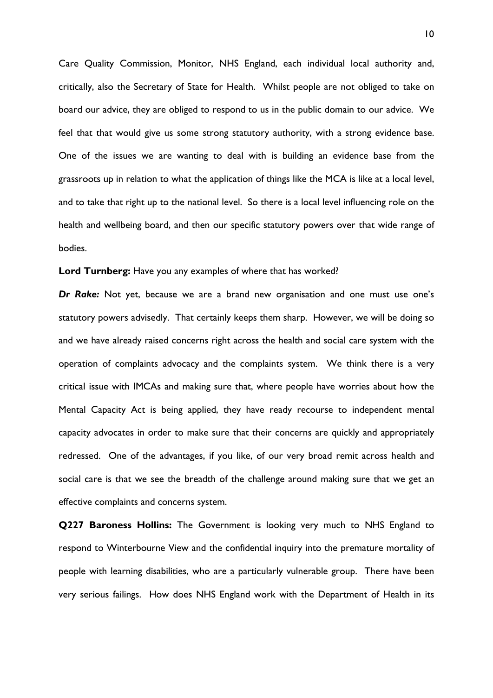Care Quality Commission, Monitor, NHS England, each individual local authority and, critically, also the Secretary of State for Health. Whilst people are not obliged to take on board our advice, they are obliged to respond to us in the public domain to our advice. We feel that that would give us some strong statutory authority, with a strong evidence base. One of the issues we are wanting to deal with is building an evidence base from the grassroots up in relation to what the application of things like the MCA is like at a local level, and to take that right up to the national level. So there is a local level influencing role on the health and wellbeing board, and then our specific statutory powers over that wide range of bodies.

**Lord Turnberg:** Have you any examples of where that has worked?

*Dr Rake:* Not yet, because we are a brand new organisation and one must use one's statutory powers advisedly. That certainly keeps them sharp. However, we will be doing so and we have already raised concerns right across the health and social care system with the operation of complaints advocacy and the complaints system. We think there is a very critical issue with IMCAs and making sure that, where people have worries about how the Mental Capacity Act is being applied, they have ready recourse to independent mental capacity advocates in order to make sure that their concerns are quickly and appropriately redressed. One of the advantages, if you like, of our very broad remit across health and social care is that we see the breadth of the challenge around making sure that we get an effective complaints and concerns system.

**Q227 Baroness Hollins:** The Government is looking very much to NHS England to respond to Winterbourne View and the confidential inquiry into the premature mortality of people with learning disabilities, who are a particularly vulnerable group. There have been very serious failings. How does NHS England work with the Department of Health in its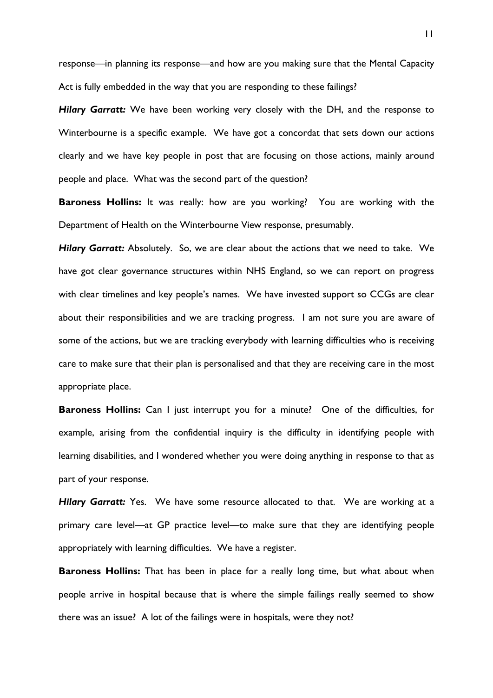response—in planning its response—and how are you making sure that the Mental Capacity Act is fully embedded in the way that you are responding to these failings?

*Hilary Garratt:* We have been working very closely with the DH, and the response to Winterbourne is a specific example. We have got a concordat that sets down our actions clearly and we have key people in post that are focusing on those actions, mainly around people and place. What was the second part of the question?

**Baroness Hollins:** It was really: how are you working? You are working with the Department of Health on the Winterbourne View response, presumably.

**Hilary Garratt:** Absolutely. So, we are clear about the actions that we need to take. We have got clear governance structures within NHS England, so we can report on progress with clear timelines and key people's names. We have invested support so CCGs are clear about their responsibilities and we are tracking progress. I am not sure you are aware of some of the actions, but we are tracking everybody with learning difficulties who is receiving care to make sure that their plan is personalised and that they are receiving care in the most appropriate place.

**Baroness Hollins:** Can I just interrupt you for a minute? One of the difficulties, for example, arising from the confidential inquiry is the difficulty in identifying people with learning disabilities, and I wondered whether you were doing anything in response to that as part of your response.

**Hilary Garratt:** Yes. We have some resource allocated to that. We are working at a primary care level—at GP practice level—to make sure that they are identifying people appropriately with learning difficulties. We have a register.

**Baroness Hollins:** That has been in place for a really long time, but what about when people arrive in hospital because that is where the simple failings really seemed to show there was an issue? A lot of the failings were in hospitals, were they not?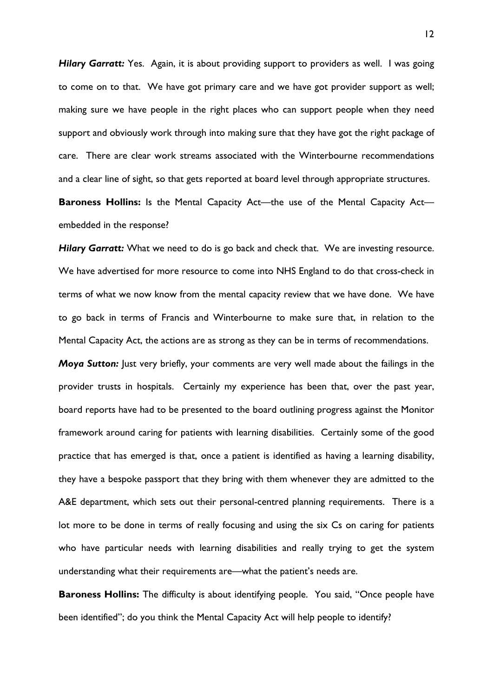*Hilary Garratt:* Yes. Again, it is about providing support to providers as well. I was going to come on to that. We have got primary care and we have got provider support as well; making sure we have people in the right places who can support people when they need support and obviously work through into making sure that they have got the right package of care. There are clear work streams associated with the Winterbourne recommendations and a clear line of sight, so that gets reported at board level through appropriate structures.

**Baroness Hollins:** Is the Mental Capacity Act—the use of the Mental Capacity Act embedded in the response?

**Hilary Garratt:** What we need to do is go back and check that. We are investing resource. We have advertised for more resource to come into NHS England to do that cross-check in terms of what we now know from the mental capacity review that we have done. We have to go back in terms of Francis and Winterbourne to make sure that, in relation to the Mental Capacity Act, the actions are as strong as they can be in terms of recommendations.

*Moya Sutton:* Just very briefly, your comments are very well made about the failings in the provider trusts in hospitals. Certainly my experience has been that, over the past year, board reports have had to be presented to the board outlining progress against the Monitor framework around caring for patients with learning disabilities. Certainly some of the good practice that has emerged is that, once a patient is identified as having a learning disability, they have a bespoke passport that they bring with them whenever they are admitted to the A&E department, which sets out their personal-centred planning requirements. There is a lot more to be done in terms of really focusing and using the six Cs on caring for patients who have particular needs with learning disabilities and really trying to get the system understanding what their requirements are—what the patient's needs are.

**Baroness Hollins:** The difficulty is about identifying people. You said, "Once people have been identified"; do you think the Mental Capacity Act will help people to identify?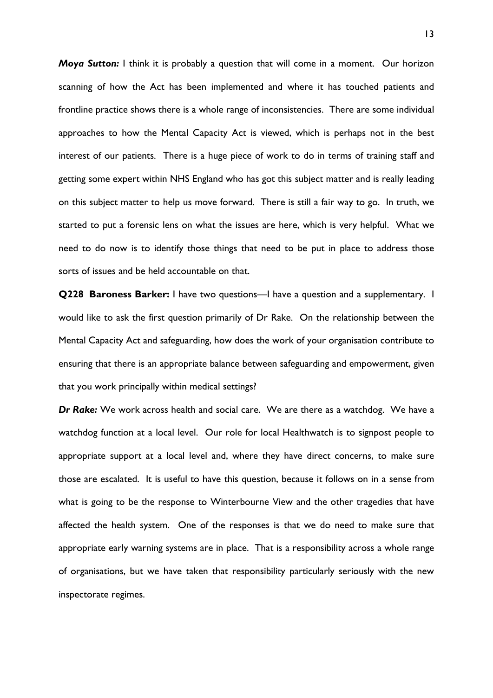*Moya Sutton:* I think it is probably a question that will come in a moment. Our horizon scanning of how the Act has been implemented and where it has touched patients and frontline practice shows there is a whole range of inconsistencies. There are some individual approaches to how the Mental Capacity Act is viewed, which is perhaps not in the best interest of our patients. There is a huge piece of work to do in terms of training staff and getting some expert within NHS England who has got this subject matter and is really leading on this subject matter to help us move forward. There is still a fair way to go. In truth, we started to put a forensic lens on what the issues are here, which is very helpful. What we need to do now is to identify those things that need to be put in place to address those sorts of issues and be held accountable on that.

**Q228 Baroness Barker:** I have two questions—I have a question and a supplementary. I would like to ask the first question primarily of Dr Rake. On the relationship between the Mental Capacity Act and safeguarding, how does the work of your organisation contribute to ensuring that there is an appropriate balance between safeguarding and empowerment, given that you work principally within medical settings?

*Dr Rake:* We work across health and social care. We are there as a watchdog. We have a watchdog function at a local level. Our role for local Healthwatch is to signpost people to appropriate support at a local level and, where they have direct concerns, to make sure those are escalated. It is useful to have this question, because it follows on in a sense from what is going to be the response to Winterbourne View and the other tragedies that have affected the health system. One of the responses is that we do need to make sure that appropriate early warning systems are in place. That is a responsibility across a whole range of organisations, but we have taken that responsibility particularly seriously with the new inspectorate regimes.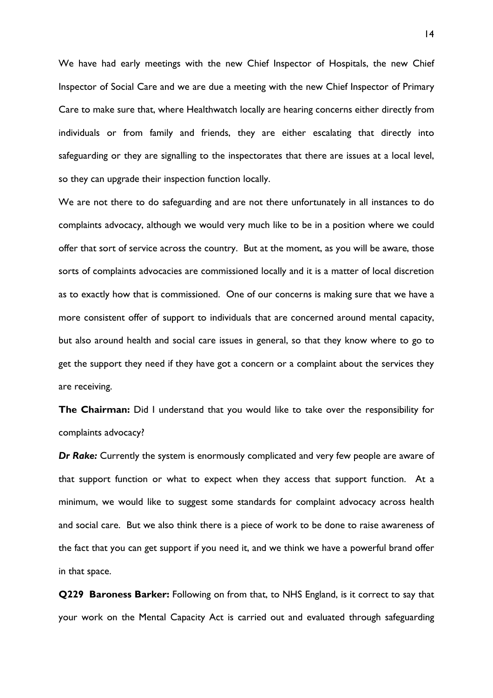We have had early meetings with the new Chief Inspector of Hospitals, the new Chief Inspector of Social Care and we are due a meeting with the new Chief Inspector of Primary Care to make sure that, where Healthwatch locally are hearing concerns either directly from individuals or from family and friends, they are either escalating that directly into safeguarding or they are signalling to the inspectorates that there are issues at a local level, so they can upgrade their inspection function locally.

We are not there to do safeguarding and are not there unfortunately in all instances to do complaints advocacy, although we would very much like to be in a position where we could offer that sort of service across the country. But at the moment, as you will be aware, those sorts of complaints advocacies are commissioned locally and it is a matter of local discretion as to exactly how that is commissioned. One of our concerns is making sure that we have a more consistent offer of support to individuals that are concerned around mental capacity, but also around health and social care issues in general, so that they know where to go to get the support they need if they have got a concern or a complaint about the services they are receiving.

**The Chairman:** Did I understand that you would like to take over the responsibility for complaints advocacy?

*Dr Rake:* Currently the system is enormously complicated and very few people are aware of that support function or what to expect when they access that support function. At a minimum, we would like to suggest some standards for complaint advocacy across health and social care. But we also think there is a piece of work to be done to raise awareness of the fact that you can get support if you need it, and we think we have a powerful brand offer in that space.

**Q229 Baroness Barker:** Following on from that, to NHS England, is it correct to say that your work on the Mental Capacity Act is carried out and evaluated through safeguarding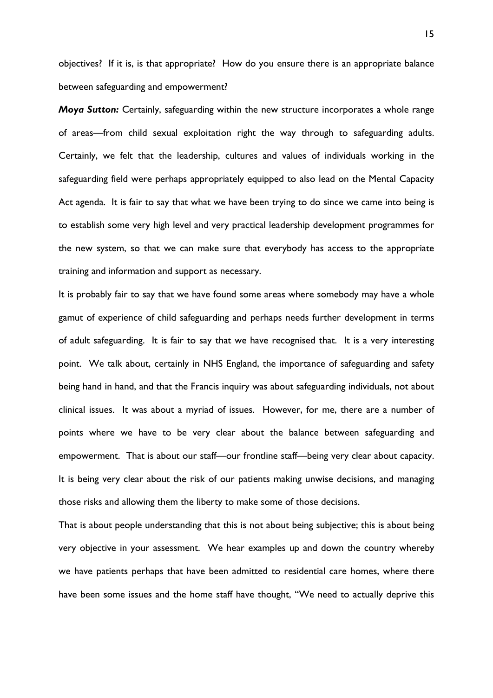objectives? If it is, is that appropriate? How do you ensure there is an appropriate balance between safeguarding and empowerment?

*Moya Sutton:* Certainly, safeguarding within the new structure incorporates a whole range of areas—from child sexual exploitation right the way through to safeguarding adults. Certainly, we felt that the leadership, cultures and values of individuals working in the safeguarding field were perhaps appropriately equipped to also lead on the Mental Capacity Act agenda. It is fair to say that what we have been trying to do since we came into being is to establish some very high level and very practical leadership development programmes for the new system, so that we can make sure that everybody has access to the appropriate training and information and support as necessary.

It is probably fair to say that we have found some areas where somebody may have a whole gamut of experience of child safeguarding and perhaps needs further development in terms of adult safeguarding. It is fair to say that we have recognised that. It is a very interesting point. We talk about, certainly in NHS England, the importance of safeguarding and safety being hand in hand, and that the Francis inquiry was about safeguarding individuals, not about clinical issues. It was about a myriad of issues. However, for me, there are a number of points where we have to be very clear about the balance between safeguarding and empowerment. That is about our staff—our frontline staff—being very clear about capacity. It is being very clear about the risk of our patients making unwise decisions, and managing those risks and allowing them the liberty to make some of those decisions.

That is about people understanding that this is not about being subjective; this is about being very objective in your assessment. We hear examples up and down the country whereby we have patients perhaps that have been admitted to residential care homes, where there have been some issues and the home staff have thought, "We need to actually deprive this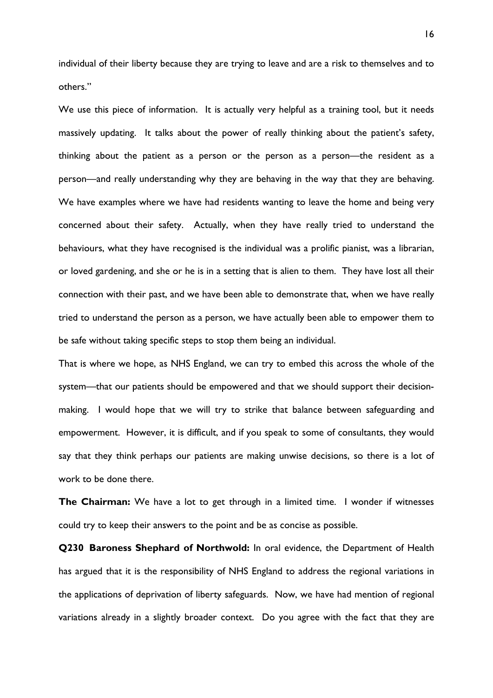individual of their liberty because they are trying to leave and are a risk to themselves and to others."

We use this piece of information. It is actually very helpful as a training tool, but it needs massively updating. It talks about the power of really thinking about the patient's safety, thinking about the patient as a person or the person as a person—the resident as a person—and really understanding why they are behaving in the way that they are behaving. We have examples where we have had residents wanting to leave the home and being very concerned about their safety. Actually, when they have really tried to understand the behaviours, what they have recognised is the individual was a prolific pianist, was a librarian, or loved gardening, and she or he is in a setting that is alien to them. They have lost all their connection with their past, and we have been able to demonstrate that, when we have really tried to understand the person as a person, we have actually been able to empower them to be safe without taking specific steps to stop them being an individual.

That is where we hope, as NHS England, we can try to embed this across the whole of the system—that our patients should be empowered and that we should support their decisionmaking. I would hope that we will try to strike that balance between safeguarding and empowerment. However, it is difficult, and if you speak to some of consultants, they would say that they think perhaps our patients are making unwise decisions, so there is a lot of work to be done there.

**The Chairman:** We have a lot to get through in a limited time. I wonder if witnesses could try to keep their answers to the point and be as concise as possible.

**Q230 Baroness Shephard of Northwold:** In oral evidence, the Department of Health has argued that it is the responsibility of NHS England to address the regional variations in the applications of deprivation of liberty safeguards. Now, we have had mention of regional variations already in a slightly broader context. Do you agree with the fact that they are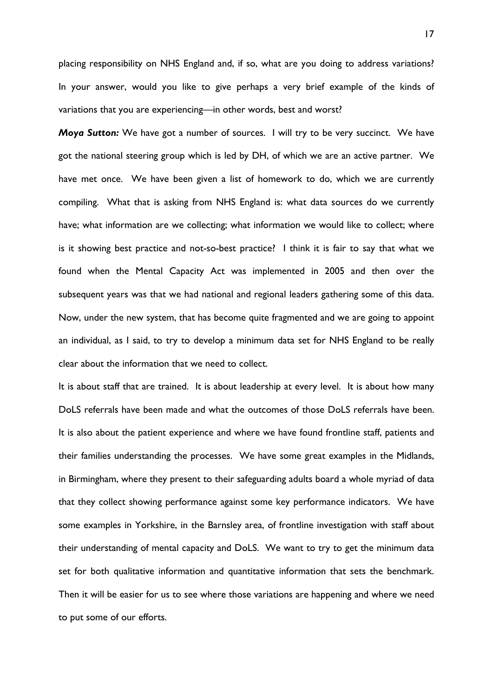placing responsibility on NHS England and, if so, what are you doing to address variations? In your answer, would you like to give perhaps a very brief example of the kinds of variations that you are experiencing—in other words, best and worst?

*Moya Sutton:* We have got a number of sources. I will try to be very succinct. We have got the national steering group which is led by DH, of which we are an active partner. We have met once. We have been given a list of homework to do, which we are currently compiling. What that is asking from NHS England is: what data sources do we currently have; what information are we collecting; what information we would like to collect; where is it showing best practice and not-so-best practice? I think it is fair to say that what we found when the Mental Capacity Act was implemented in 2005 and then over the subsequent years was that we had national and regional leaders gathering some of this data. Now, under the new system, that has become quite fragmented and we are going to appoint an individual, as I said, to try to develop a minimum data set for NHS England to be really clear about the information that we need to collect.

It is about staff that are trained. It is about leadership at every level. It is about how many DoLS referrals have been made and what the outcomes of those DoLS referrals have been. It is also about the patient experience and where we have found frontline staff, patients and their families understanding the processes. We have some great examples in the Midlands, in Birmingham, where they present to their safeguarding adults board a whole myriad of data that they collect showing performance against some key performance indicators. We have some examples in Yorkshire, in the Barnsley area, of frontline investigation with staff about their understanding of mental capacity and DoLS. We want to try to get the minimum data set for both qualitative information and quantitative information that sets the benchmark. Then it will be easier for us to see where those variations are happening and where we need to put some of our efforts.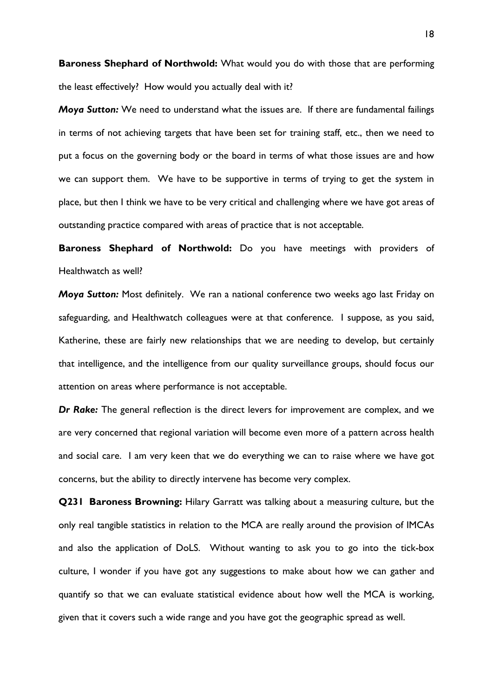**Baroness Shephard of Northwold:** What would you do with those that are performing the least effectively? How would you actually deal with it?

*Moya Sutton:* We need to understand what the issues are. If there are fundamental failings in terms of not achieving targets that have been set for training staff, etc., then we need to put a focus on the governing body or the board in terms of what those issues are and how we can support them. We have to be supportive in terms of trying to get the system in place, but then I think we have to be very critical and challenging where we have got areas of outstanding practice compared with areas of practice that is not acceptable.

**Baroness Shephard of Northwold:** Do you have meetings with providers of Healthwatch as well?

*Moya Sutton:* Most definitely. We ran a national conference two weeks ago last Friday on safeguarding, and Healthwatch colleagues were at that conference. I suppose, as you said, Katherine, these are fairly new relationships that we are needing to develop, but certainly that intelligence, and the intelligence from our quality surveillance groups, should focus our attention on areas where performance is not acceptable.

*Dr Rake:* The general reflection is the direct levers for improvement are complex, and we are very concerned that regional variation will become even more of a pattern across health and social care. I am very keen that we do everything we can to raise where we have got concerns, but the ability to directly intervene has become very complex.

**Q231 Baroness Browning:** Hilary Garratt was talking about a measuring culture, but the only real tangible statistics in relation to the MCA are really around the provision of IMCAs and also the application of DoLS. Without wanting to ask you to go into the tick-box culture, I wonder if you have got any suggestions to make about how we can gather and quantify so that we can evaluate statistical evidence about how well the MCA is working, given that it covers such a wide range and you have got the geographic spread as well.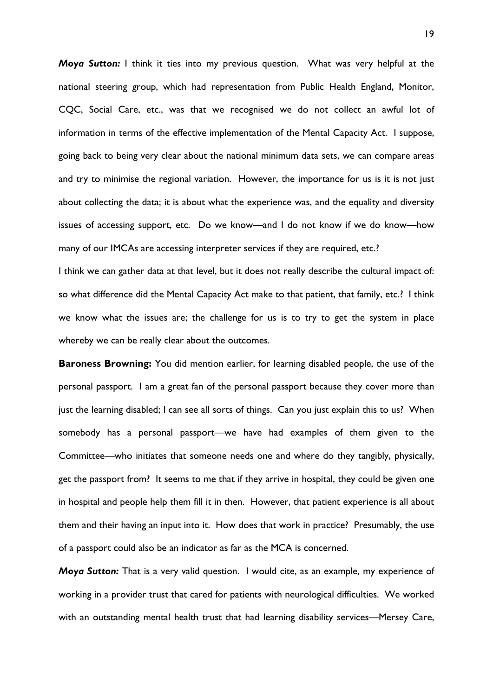*Moya Sutton:* I think it ties into my previous question. What was very helpful at the national steering group, which had representation from Public Health England, Monitor, CQC, Social Care, etc., was that we recognised we do not collect an awful lot of information in terms of the effective implementation of the Mental Capacity Act. I suppose, going back to being very clear about the national minimum data sets, we can compare areas and try to minimise the regional variation. However, the importance for us is it is not just about collecting the data; it is about what the experience was, and the equality and diversity issues of accessing support, etc. Do we know—and I do not know if we do know—how many of our IMCAs are accessing interpreter services if they are required, etc.?

I think we can gather data at that level, but it does not really describe the cultural impact of: so what difference did the Mental Capacity Act make to that patient, that family, etc.? I think we know what the issues are; the challenge for us is to try to get the system in place whereby we can be really clear about the outcomes.

**Baroness Browning:** You did mention earlier, for learning disabled people, the use of the personal passport. I am a great fan of the personal passport because they cover more than just the learning disabled; I can see all sorts of things. Can you just explain this to us? When somebody has a personal passport—we have had examples of them given to the Committee—who initiates that someone needs one and where do they tangibly, physically, get the passport from? It seems to me that if they arrive in hospital, they could be given one in hospital and people help them fill it in then. However, that patient experience is all about them and their having an input into it. How does that work in practice? Presumably, the use of a passport could also be an indicator as far as the MCA is concerned.

*Moya Sutton:* That is a very valid question. I would cite, as an example, my experience of working in a provider trust that cared for patients with neurological difficulties. We worked with an outstanding mental health trust that had learning disability services—Mersey Care,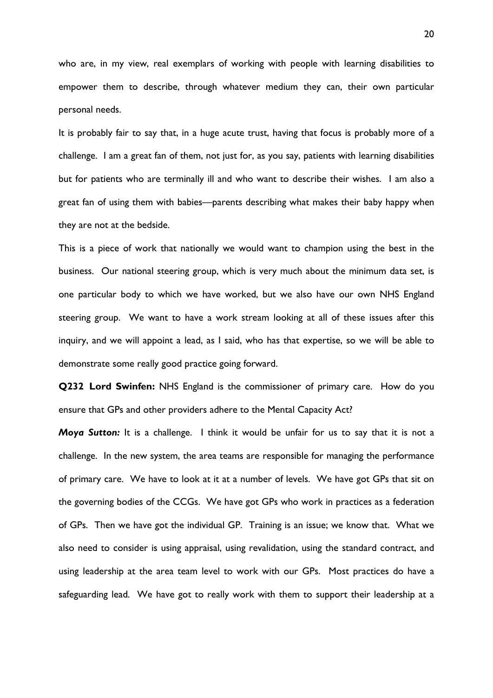who are, in my view, real exemplars of working with people with learning disabilities to empower them to describe, through whatever medium they can, their own particular personal needs.

It is probably fair to say that, in a huge acute trust, having that focus is probably more of a challenge. I am a great fan of them, not just for, as you say, patients with learning disabilities but for patients who are terminally ill and who want to describe their wishes. I am also a great fan of using them with babies—parents describing what makes their baby happy when they are not at the bedside.

This is a piece of work that nationally we would want to champion using the best in the business. Our national steering group, which is very much about the minimum data set, is one particular body to which we have worked, but we also have our own NHS England steering group. We want to have a work stream looking at all of these issues after this inquiry, and we will appoint a lead, as I said, who has that expertise, so we will be able to demonstrate some really good practice going forward.

**Q232 Lord Swinfen:** NHS England is the commissioner of primary care. How do you ensure that GPs and other providers adhere to the Mental Capacity Act?

*Moya Sutton:* It is a challenge. I think it would be unfair for us to say that it is not a challenge. In the new system, the area teams are responsible for managing the performance of primary care. We have to look at it at a number of levels. We have got GPs that sit on the governing bodies of the CCGs. We have got GPs who work in practices as a federation of GPs. Then we have got the individual GP. Training is an issue; we know that. What we also need to consider is using appraisal, using revalidation, using the standard contract, and using leadership at the area team level to work with our GPs. Most practices do have a safeguarding lead. We have got to really work with them to support their leadership at a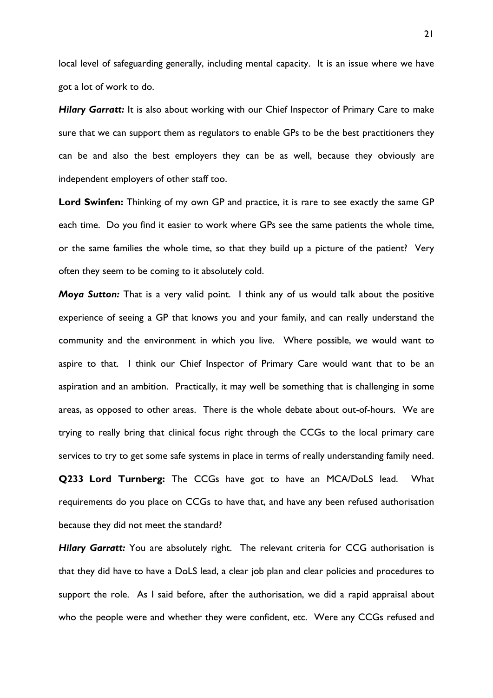local level of safeguarding generally, including mental capacity. It is an issue where we have got a lot of work to do.

**Hilary Garratt:** It is also about working with our Chief Inspector of Primary Care to make sure that we can support them as regulators to enable GPs to be the best practitioners they can be and also the best employers they can be as well, because they obviously are independent employers of other staff too.

**Lord Swinfen:** Thinking of my own GP and practice, it is rare to see exactly the same GP each time. Do you find it easier to work where GPs see the same patients the whole time, or the same families the whole time, so that they build up a picture of the patient? Very often they seem to be coming to it absolutely cold.

*Moya Sutton:* That is a very valid point. I think any of us would talk about the positive experience of seeing a GP that knows you and your family, and can really understand the community and the environment in which you live. Where possible, we would want to aspire to that. I think our Chief Inspector of Primary Care would want that to be an aspiration and an ambition. Practically, it may well be something that is challenging in some areas, as opposed to other areas. There is the whole debate about out-of-hours. We are trying to really bring that clinical focus right through the CCGs to the local primary care services to try to get some safe systems in place in terms of really understanding family need. **Q233 Lord Turnberg:** The CCGs have got to have an MCA/DoLS lead. What requirements do you place on CCGs to have that, and have any been refused authorisation because they did not meet the standard?

**Hilary Garratt:** You are absolutely right. The relevant criteria for CCG authorisation is that they did have to have a DoLS lead, a clear job plan and clear policies and procedures to support the role. As I said before, after the authorisation, we did a rapid appraisal about who the people were and whether they were confident, etc. Were any CCGs refused and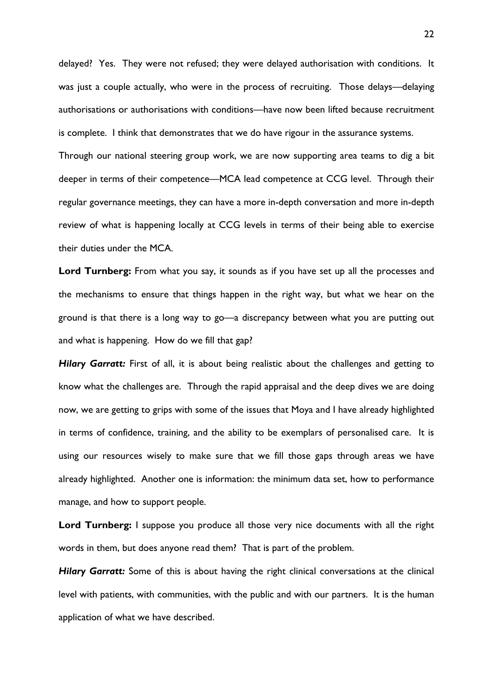delayed? Yes. They were not refused; they were delayed authorisation with conditions. It was just a couple actually, who were in the process of recruiting. Those delays—delaying authorisations or authorisations with conditions—have now been lifted because recruitment is complete. I think that demonstrates that we do have rigour in the assurance systems.

Through our national steering group work, we are now supporting area teams to dig a bit deeper in terms of their competence—MCA lead competence at CCG level. Through their regular governance meetings, they can have a more in-depth conversation and more in-depth review of what is happening locally at CCG levels in terms of their being able to exercise their duties under the MCA.

**Lord Turnberg:** From what you say, it sounds as if you have set up all the processes and the mechanisms to ensure that things happen in the right way, but what we hear on the ground is that there is a long way to go—a discrepancy between what you are putting out and what is happening. How do we fill that gap?

*Hilary Garratt:* First of all, it is about being realistic about the challenges and getting to know what the challenges are. Through the rapid appraisal and the deep dives we are doing now, we are getting to grips with some of the issues that Moya and I have already highlighted in terms of confidence, training, and the ability to be exemplars of personalised care. It is using our resources wisely to make sure that we fill those gaps through areas we have already highlighted. Another one is information: the minimum data set, how to performance manage, and how to support people.

Lord Turnberg: I suppose you produce all those very nice documents with all the right words in them, but does anyone read them? That is part of the problem.

Hilary Garratt: Some of this is about having the right clinical conversations at the clinical level with patients, with communities, with the public and with our partners. It is the human application of what we have described.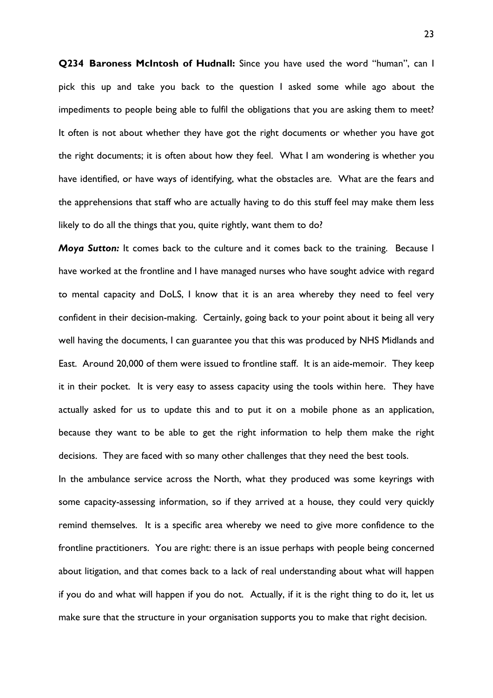**Q234 Baroness McIntosh of Hudnall:** Since you have used the word "human", can I pick this up and take you back to the question I asked some while ago about the impediments to people being able to fulfil the obligations that you are asking them to meet? It often is not about whether they have got the right documents or whether you have got the right documents; it is often about how they feel. What I am wondering is whether you have identified, or have ways of identifying, what the obstacles are. What are the fears and the apprehensions that staff who are actually having to do this stuff feel may make them less likely to do all the things that you, quite rightly, want them to do?

*Moya Sutton:* It comes back to the culture and it comes back to the training. Because I have worked at the frontline and I have managed nurses who have sought advice with regard to mental capacity and DoLS, I know that it is an area whereby they need to feel very confident in their decision-making. Certainly, going back to your point about it being all very well having the documents, I can guarantee you that this was produced by NHS Midlands and East. Around 20,000 of them were issued to frontline staff. It is an aide-memoir. They keep it in their pocket. It is very easy to assess capacity using the tools within here. They have actually asked for us to update this and to put it on a mobile phone as an application, because they want to be able to get the right information to help them make the right decisions. They are faced with so many other challenges that they need the best tools.

In the ambulance service across the North, what they produced was some keyrings with some capacity-assessing information, so if they arrived at a house, they could very quickly remind themselves. It is a specific area whereby we need to give more confidence to the frontline practitioners. You are right: there is an issue perhaps with people being concerned about litigation, and that comes back to a lack of real understanding about what will happen if you do and what will happen if you do not. Actually, if it is the right thing to do it, let us make sure that the structure in your organisation supports you to make that right decision.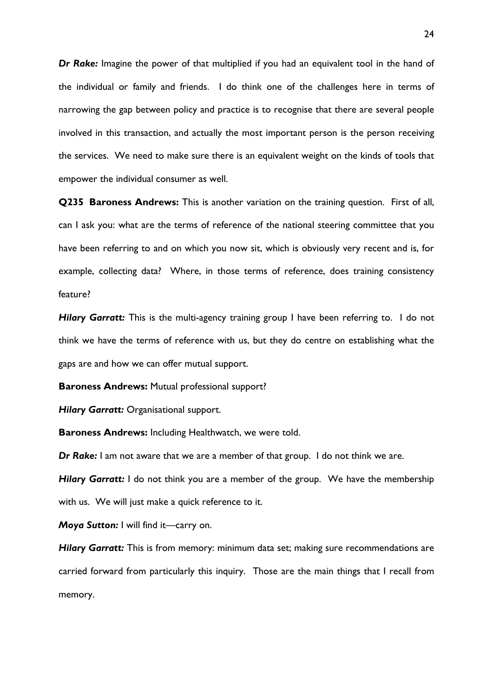*Dr Rake:* Imagine the power of that multiplied if you had an equivalent tool in the hand of the individual or family and friends. I do think one of the challenges here in terms of narrowing the gap between policy and practice is to recognise that there are several people involved in this transaction, and actually the most important person is the person receiving the services. We need to make sure there is an equivalent weight on the kinds of tools that empower the individual consumer as well.

**Q235 Baroness Andrews:** This is another variation on the training question. First of all, can I ask you: what are the terms of reference of the national steering committee that you have been referring to and on which you now sit, which is obviously very recent and is, for example, collecting data? Where, in those terms of reference, does training consistency feature?

*Hilary Garratt:* This is the multi-agency training group I have been referring to. I do not think we have the terms of reference with us, but they do centre on establishing what the gaps are and how we can offer mutual support.

**Baroness Andrews:** Mutual professional support?

*Hilary Garratt:* Organisational support.

**Baroness Andrews:** Including Healthwatch, we were told.

*Dr Rake:* I am not aware that we are a member of that group. I do not think we are.

*Hilary Garratt:* I do not think you are a member of the group. We have the membership with us. We will just make a quick reference to it.

*Moya Sutton:* I will find it—carry on.

*Hilary Garratt:* This is from memory: minimum data set; making sure recommendations are carried forward from particularly this inquiry. Those are the main things that I recall from memory.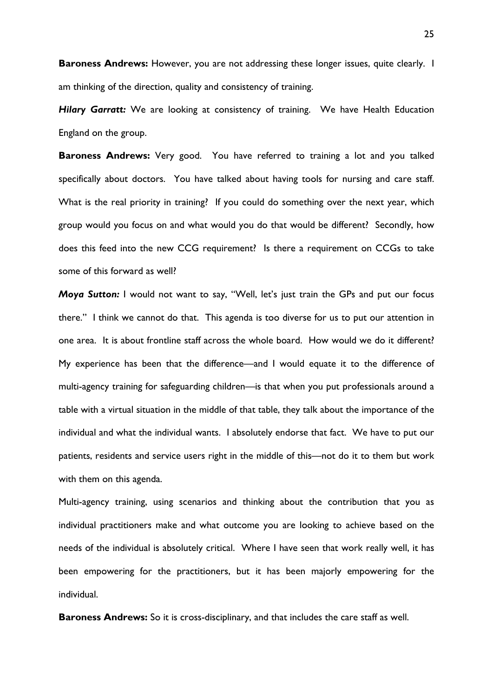**Baroness Andrews:** However, you are not addressing these longer issues, quite clearly. I am thinking of the direction, quality and consistency of training.

**Hilary Garratt:** We are looking at consistency of training. We have Health Education England on the group.

**Baroness Andrews:** Very good. You have referred to training a lot and you talked specifically about doctors. You have talked about having tools for nursing and care staff. What is the real priority in training? If you could do something over the next year, which group would you focus on and what would you do that would be different? Secondly, how does this feed into the new CCG requirement? Is there a requirement on CCGs to take some of this forward as well?

*Moya Sutton:* I would not want to say, "Well, let's just train the GPs and put our focus there." I think we cannot do that. This agenda is too diverse for us to put our attention in one area. It is about frontline staff across the whole board. How would we do it different? My experience has been that the difference—and I would equate it to the difference of multi-agency training for safeguarding children—is that when you put professionals around a table with a virtual situation in the middle of that table, they talk about the importance of the individual and what the individual wants. I absolutely endorse that fact. We have to put our patients, residents and service users right in the middle of this—not do it to them but work with them on this agenda.

Multi-agency training, using scenarios and thinking about the contribution that you as individual practitioners make and what outcome you are looking to achieve based on the needs of the individual is absolutely critical. Where I have seen that work really well, it has been empowering for the practitioners, but it has been majorly empowering for the individual.

**Baroness Andrews:** So it is cross-disciplinary, and that includes the care staff as well.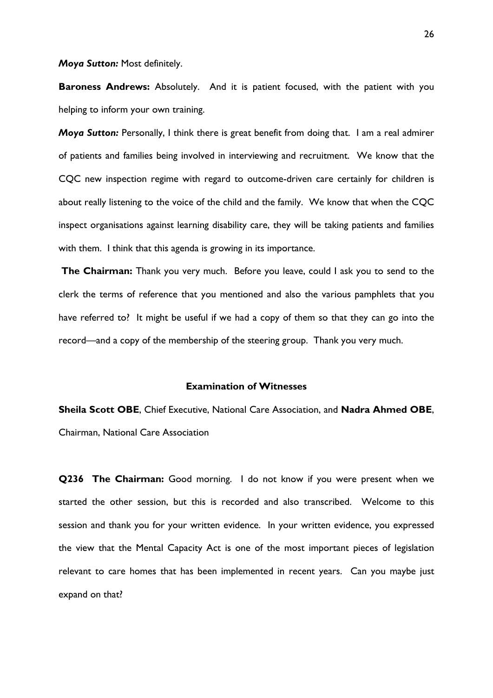#### *Moya Sutton:* Most definitely.

**Baroness Andrews:** Absolutely. And it is patient focused, with the patient with you helping to inform your own training.

*Moya Sutton:* Personally, I think there is great benefit from doing that. I am a real admirer of patients and families being involved in interviewing and recruitment. We know that the CQC new inspection regime with regard to outcome-driven care certainly for children is about really listening to the voice of the child and the family. We know that when the CQC inspect organisations against learning disability care, they will be taking patients and families with them. I think that this agenda is growing in its importance.

**The Chairman:** Thank you very much. Before you leave, could I ask you to send to the clerk the terms of reference that you mentioned and also the various pamphlets that you have referred to? It might be useful if we had a copy of them so that they can go into the record—and a copy of the membership of the steering group. Thank you very much.

### **Examination of Witnesses**

**Sheila Scott OBE**, Chief Executive, National Care Association, and **Nadra Ahmed OBE**, Chairman, National Care Association

**Q236 The Chairman:** Good morning. I do not know if you were present when we started the other session, but this is recorded and also transcribed. Welcome to this session and thank you for your written evidence. In your written evidence, you expressed the view that the Mental Capacity Act is one of the most important pieces of legislation relevant to care homes that has been implemented in recent years. Can you maybe just expand on that?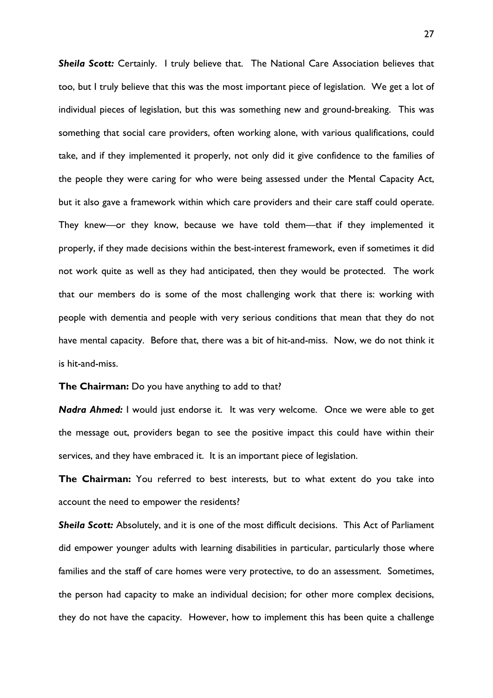*Sheila Scott:* Certainly. I truly believe that. The National Care Association believes that too, but I truly believe that this was the most important piece of legislation. We get a lot of individual pieces of legislation, but this was something new and ground-breaking. This was something that social care providers, often working alone, with various qualifications, could take, and if they implemented it properly, not only did it give confidence to the families of the people they were caring for who were being assessed under the Mental Capacity Act, but it also gave a framework within which care providers and their care staff could operate. They knew—or they know, because we have told them—that if they implemented it properly, if they made decisions within the best-interest framework, even if sometimes it did not work quite as well as they had anticipated, then they would be protected. The work that our members do is some of the most challenging work that there is: working with people with dementia and people with very serious conditions that mean that they do not have mental capacity. Before that, there was a bit of hit-and-miss. Now, we do not think it is hit-and-miss.

**The Chairman:** Do you have anything to add to that?

*Nadra Ahmed:* I would just endorse it. It was very welcome. Once we were able to get the message out, providers began to see the positive impact this could have within their services, and they have embraced it. It is an important piece of legislation.

**The Chairman:** You referred to best interests, but to what extent do you take into account the need to empower the residents?

*Sheila Scott:* Absolutely, and it is one of the most difficult decisions. This Act of Parliament did empower younger adults with learning disabilities in particular, particularly those where families and the staff of care homes were very protective, to do an assessment. Sometimes, the person had capacity to make an individual decision; for other more complex decisions, they do not have the capacity. However, how to implement this has been quite a challenge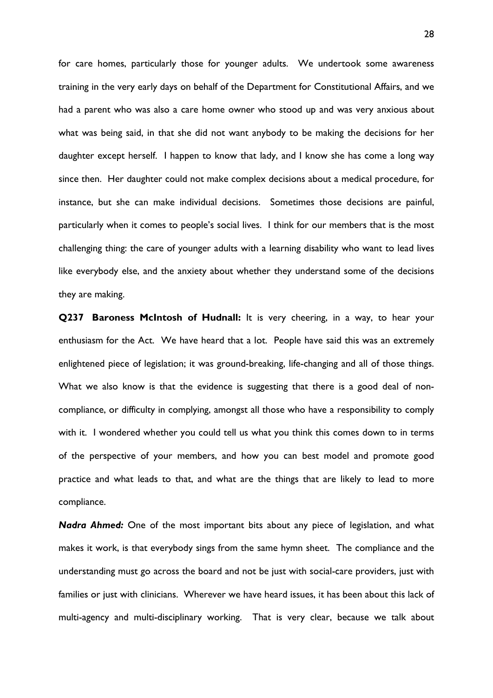for care homes, particularly those for younger adults. We undertook some awareness training in the very early days on behalf of the Department for Constitutional Affairs, and we had a parent who was also a care home owner who stood up and was very anxious about what was being said, in that she did not want anybody to be making the decisions for her daughter except herself. I happen to know that lady, and I know she has come a long way since then. Her daughter could not make complex decisions about a medical procedure, for instance, but she can make individual decisions. Sometimes those decisions are painful, particularly when it comes to people's social lives. I think for our members that is the most challenging thing: the care of younger adults with a learning disability who want to lead lives like everybody else, and the anxiety about whether they understand some of the decisions they are making.

**Q237 Baroness McIntosh of Hudnall:** It is very cheering, in a way, to hear your enthusiasm for the Act. We have heard that a lot. People have said this was an extremely enlightened piece of legislation; it was ground-breaking, life-changing and all of those things. What we also know is that the evidence is suggesting that there is a good deal of noncompliance, or difficulty in complying, amongst all those who have a responsibility to comply with it. I wondered whether you could tell us what you think this comes down to in terms of the perspective of your members, and how you can best model and promote good practice and what leads to that, and what are the things that are likely to lead to more compliance.

*Nadra Ahmed:* One of the most important bits about any piece of legislation, and what makes it work, is that everybody sings from the same hymn sheet. The compliance and the understanding must go across the board and not be just with social-care providers, just with families or just with clinicians. Wherever we have heard issues, it has been about this lack of multi-agency and multi-disciplinary working. That is very clear, because we talk about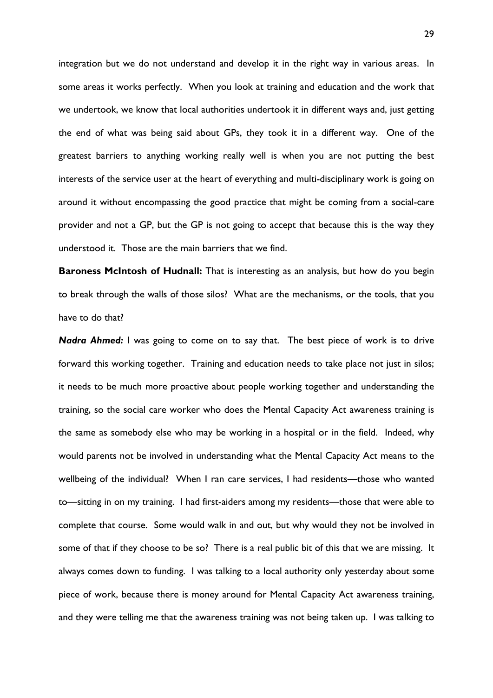integration but we do not understand and develop it in the right way in various areas. In some areas it works perfectly. When you look at training and education and the work that we undertook, we know that local authorities undertook it in different ways and, just getting the end of what was being said about GPs, they took it in a different way. One of the greatest barriers to anything working really well is when you are not putting the best interests of the service user at the heart of everything and multi-disciplinary work is going on around it without encompassing the good practice that might be coming from a social-care provider and not a GP, but the GP is not going to accept that because this is the way they understood it. Those are the main barriers that we find.

**Baroness McIntosh of Hudnall:** That is interesting as an analysis, but how do you begin to break through the walls of those silos? What are the mechanisms, or the tools, that you have to do that?

*Nadra Ahmed:* I was going to come on to say that. The best piece of work is to drive forward this working together. Training and education needs to take place not just in silos; it needs to be much more proactive about people working together and understanding the training, so the social care worker who does the Mental Capacity Act awareness training is the same as somebody else who may be working in a hospital or in the field. Indeed, why would parents not be involved in understanding what the Mental Capacity Act means to the wellbeing of the individual? When I ran care services, I had residents—those who wanted to—sitting in on my training. I had first-aiders among my residents—those that were able to complete that course. Some would walk in and out, but why would they not be involved in some of that if they choose to be so? There is a real public bit of this that we are missing. It always comes down to funding. I was talking to a local authority only yesterday about some piece of work, because there is money around for Mental Capacity Act awareness training, and they were telling me that the awareness training was not being taken up. I was talking to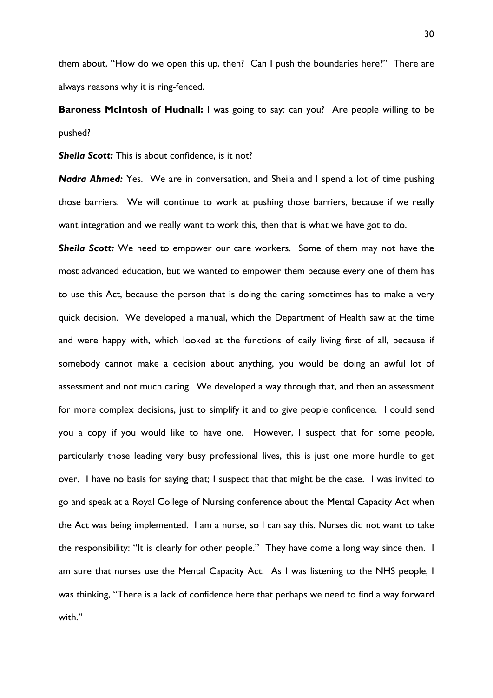them about, "How do we open this up, then? Can I push the boundaries here?" There are always reasons why it is ring-fenced.

**Baroness McIntosh of Hudnall:** I was going to say: can you? Are people willing to be pushed?

**Sheila Scott:** This is about confidence, is it not?

*Nadra Ahmed:* Yes. We are in conversation, and Sheila and I spend a lot of time pushing those barriers. We will continue to work at pushing those barriers, because if we really want integration and we really want to work this, then that is what we have got to do.

*Sheila Scott:* We need to empower our care workers. Some of them may not have the most advanced education, but we wanted to empower them because every one of them has to use this Act, because the person that is doing the caring sometimes has to make a very quick decision. We developed a manual, which the Department of Health saw at the time and were happy with, which looked at the functions of daily living first of all, because if somebody cannot make a decision about anything, you would be doing an awful lot of assessment and not much caring. We developed a way through that, and then an assessment for more complex decisions, just to simplify it and to give people confidence. I could send you a copy if you would like to have one. However, I suspect that for some people, particularly those leading very busy professional lives, this is just one more hurdle to get over. I have no basis for saying that; I suspect that that might be the case. I was invited to go and speak at a Royal College of Nursing conference about the Mental Capacity Act when the Act was being implemented. I am a nurse, so I can say this. Nurses did not want to take the responsibility: "It is clearly for other people." They have come a long way since then. I am sure that nurses use the Mental Capacity Act. As I was listening to the NHS people, I was thinking, "There is a lack of confidence here that perhaps we need to find a way forward with."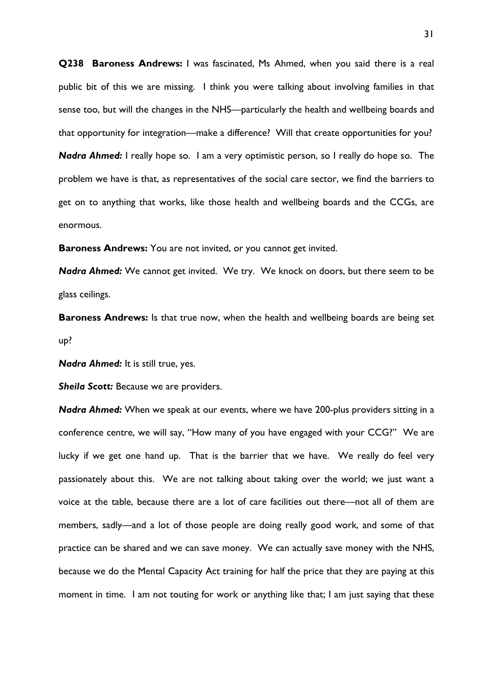**Q238 Baroness Andrews:** I was fascinated, Ms Ahmed, when you said there is a real public bit of this we are missing. I think you were talking about involving families in that sense too, but will the changes in the NHS—particularly the health and wellbeing boards and that opportunity for integration—make a difference? Will that create opportunities for you? *Nadra Ahmed:* I really hope so. I am a very optimistic person, so I really do hope so. The problem we have is that, as representatives of the social care sector, we find the barriers to get on to anything that works, like those health and wellbeing boards and the CCGs, are enormous.

**Baroness Andrews:** You are not invited, or you cannot get invited.

*Nadra Ahmed:* We cannot get invited. We try. We knock on doors, but there seem to be glass ceilings.

**Baroness Andrews:** Is that true now, when the health and wellbeing boards are being set up?

*Nadra Ahmed:* It is still true, yes.

**Sheila Scott:** Because we are providers.

*Nadra Ahmed:* When we speak at our events, where we have 200-plus providers sitting in a conference centre, we will say, "How many of you have engaged with your CCG?" We are lucky if we get one hand up. That is the barrier that we have. We really do feel very passionately about this. We are not talking about taking over the world; we just want a voice at the table, because there are a lot of care facilities out there—not all of them are members, sadly—and a lot of those people are doing really good work, and some of that practice can be shared and we can save money. We can actually save money with the NHS, because we do the Mental Capacity Act training for half the price that they are paying at this moment in time. I am not touting for work or anything like that; I am just saying that these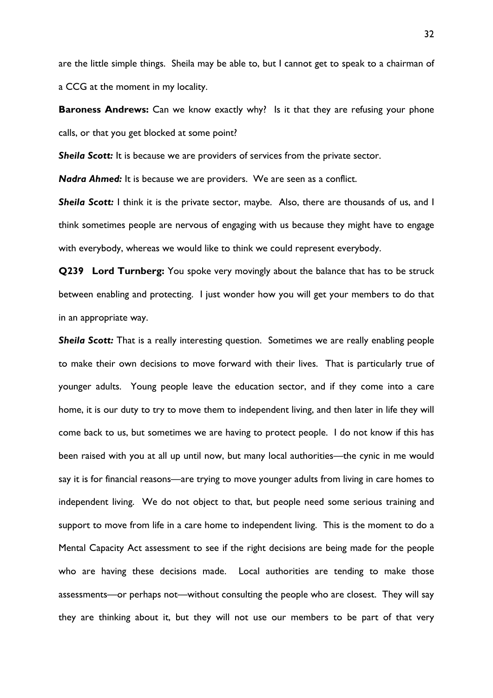are the little simple things. Sheila may be able to, but I cannot get to speak to a chairman of a CCG at the moment in my locality.

**Baroness Andrews:** Can we know exactly why? Is it that they are refusing your phone calls, or that you get blocked at some point?

**Sheila Scott:** It is because we are providers of services from the private sector.

*Nadra Ahmed:* It is because we are providers. We are seen as a conflict.

*Sheila Scott:* I think it is the private sector, maybe. Also, there are thousands of us, and I think sometimes people are nervous of engaging with us because they might have to engage with everybody, whereas we would like to think we could represent everybody.

**Q239 Lord Turnberg:** You spoke very movingly about the balance that has to be struck between enabling and protecting. I just wonder how you will get your members to do that in an appropriate way.

**Sheila Scott:** That is a really interesting question. Sometimes we are really enabling people to make their own decisions to move forward with their lives. That is particularly true of younger adults. Young people leave the education sector, and if they come into a care home, it is our duty to try to move them to independent living, and then later in life they will come back to us, but sometimes we are having to protect people. I do not know if this has been raised with you at all up until now, but many local authorities—the cynic in me would say it is for financial reasons—are trying to move younger adults from living in care homes to independent living. We do not object to that, but people need some serious training and support to move from life in a care home to independent living. This is the moment to do a Mental Capacity Act assessment to see if the right decisions are being made for the people who are having these decisions made. Local authorities are tending to make those assessments—or perhaps not—without consulting the people who are closest. They will say they are thinking about it, but they will not use our members to be part of that very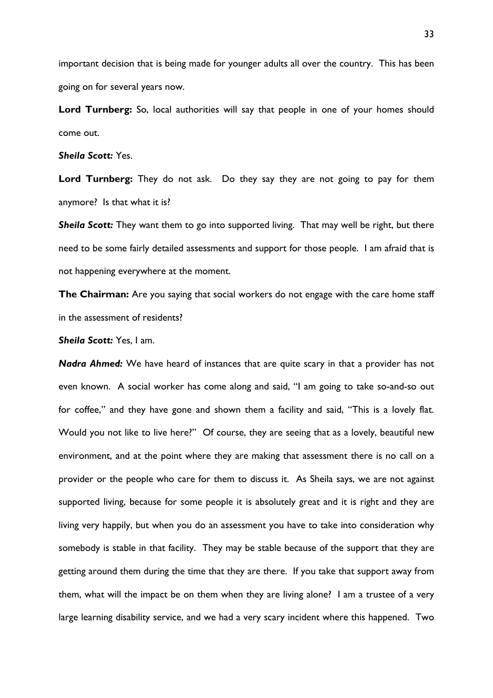important decision that is being made for younger adults all over the country. This has been going on for several years now.

Lord Turnberg: So, local authorities will say that people in one of your homes should come out.

### *Sheila Scott:* Yes.

Lord Turnberg: They do not ask. Do they say they are not going to pay for them anymore? Is that what it is?

*Sheila Scott:* They want them to go into supported living. That may well be right, but there need to be some fairly detailed assessments and support for those people. I am afraid that is not happening everywhere at the moment.

**The Chairman:** Are you saying that social workers do not engage with the care home staff in the assessment of residents?

*Sheila Scott:* Yes, I am.

*Nadra Ahmed:* We have heard of instances that are quite scary in that a provider has not even known. A social worker has come along and said, "I am going to take so-and-so out for coffee," and they have gone and shown them a facility and said, "This is a lovely flat. Would you not like to live here?" Of course, they are seeing that as a lovely, beautiful new environment, and at the point where they are making that assessment there is no call on a provider or the people who care for them to discuss it. As Sheila says, we are not against supported living, because for some people it is absolutely great and it is right and they are living very happily, but when you do an assessment you have to take into consideration why somebody is stable in that facility. They may be stable because of the support that they are getting around them during the time that they are there. If you take that support away from them, what will the impact be on them when they are living alone? I am a trustee of a very large learning disability service, and we had a very scary incident where this happened. Two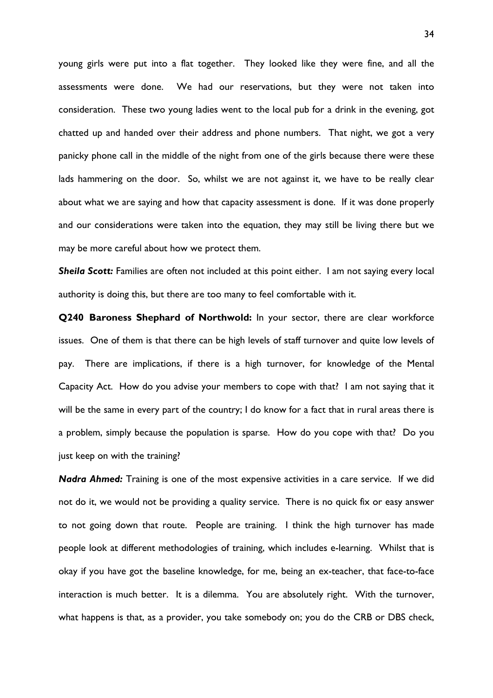young girls were put into a flat together. They looked like they were fine, and all the assessments were done. We had our reservations, but they were not taken into consideration. These two young ladies went to the local pub for a drink in the evening, got chatted up and handed over their address and phone numbers. That night, we got a very panicky phone call in the middle of the night from one of the girls because there were these lads hammering on the door. So, whilst we are not against it, we have to be really clear about what we are saying and how that capacity assessment is done. If it was done properly and our considerations were taken into the equation, they may still be living there but we may be more careful about how we protect them.

*Sheila Scott:* Families are often not included at this point either. I am not saying every local authority is doing this, but there are too many to feel comfortable with it.

**Q240 Baroness Shephard of Northwold:** In your sector, there are clear workforce issues. One of them is that there can be high levels of staff turnover and quite low levels of pay. There are implications, if there is a high turnover, for knowledge of the Mental Capacity Act. How do you advise your members to cope with that? I am not saying that it will be the same in every part of the country; I do know for a fact that in rural areas there is a problem, simply because the population is sparse. How do you cope with that? Do you just keep on with the training?

*Nadra Ahmed:* Training is one of the most expensive activities in a care service. If we did not do it, we would not be providing a quality service. There is no quick fix or easy answer to not going down that route. People are training. I think the high turnover has made people look at different methodologies of training, which includes e-learning. Whilst that is okay if you have got the baseline knowledge, for me, being an ex-teacher, that face-to-face interaction is much better. It is a dilemma. You are absolutely right. With the turnover, what happens is that, as a provider, you take somebody on; you do the CRB or DBS check,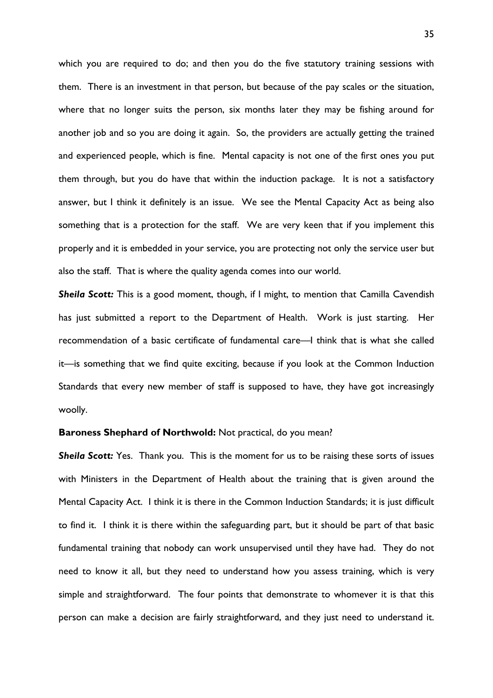which you are required to do; and then you do the five statutory training sessions with them. There is an investment in that person, but because of the pay scales or the situation, where that no longer suits the person, six months later they may be fishing around for another job and so you are doing it again. So, the providers are actually getting the trained and experienced people, which is fine. Mental capacity is not one of the first ones you put them through, but you do have that within the induction package. It is not a satisfactory answer, but I think it definitely is an issue. We see the Mental Capacity Act as being also something that is a protection for the staff. We are very keen that if you implement this properly and it is embedded in your service, you are protecting not only the service user but also the staff. That is where the quality agenda comes into our world.

**Sheila Scott:** This is a good moment, though, if I might, to mention that Camilla Cavendish has just submitted a report to the Department of Health. Work is just starting. Her recommendation of a basic certificate of fundamental care—I think that is what she called it—is something that we find quite exciting, because if you look at the Common Induction Standards that every new member of staff is supposed to have, they have got increasingly woolly.

#### **Baroness Shephard of Northwold:** Not practical, do you mean?

*Sheila Scott:* Yes. Thank you. This is the moment for us to be raising these sorts of issues with Ministers in the Department of Health about the training that is given around the Mental Capacity Act. I think it is there in the Common Induction Standards; it is just difficult to find it. I think it is there within the safeguarding part, but it should be part of that basic fundamental training that nobody can work unsupervised until they have had. They do not need to know it all, but they need to understand how you assess training, which is very simple and straightforward. The four points that demonstrate to whomever it is that this person can make a decision are fairly straightforward, and they just need to understand it.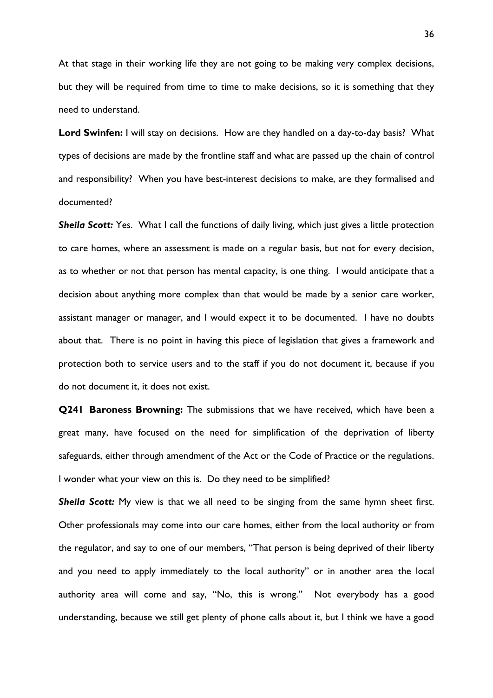At that stage in their working life they are not going to be making very complex decisions, but they will be required from time to time to make decisions, so it is something that they need to understand.

**Lord Swinfen:** I will stay on decisions. How are they handled on a day-to-day basis? What types of decisions are made by the frontline staff and what are passed up the chain of control and responsibility? When you have best-interest decisions to make, are they formalised and documented?

**Sheila Scott:** Yes. What I call the functions of daily living, which just gives a little protection to care homes, where an assessment is made on a regular basis, but not for every decision, as to whether or not that person has mental capacity, is one thing. I would anticipate that a decision about anything more complex than that would be made by a senior care worker, assistant manager or manager, and I would expect it to be documented. I have no doubts about that. There is no point in having this piece of legislation that gives a framework and protection both to service users and to the staff if you do not document it, because if you do not document it, it does not exist.

**Q241 Baroness Browning:** The submissions that we have received, which have been a great many, have focused on the need for simplification of the deprivation of liberty safeguards, either through amendment of the Act or the Code of Practice or the regulations. I wonder what your view on this is. Do they need to be simplified?

**Sheila Scott:** My view is that we all need to be singing from the same hymn sheet first. Other professionals may come into our care homes, either from the local authority or from the regulator, and say to one of our members, "That person is being deprived of their liberty and you need to apply immediately to the local authority" or in another area the local authority area will come and say, "No, this is wrong." Not everybody has a good understanding, because we still get plenty of phone calls about it, but I think we have a good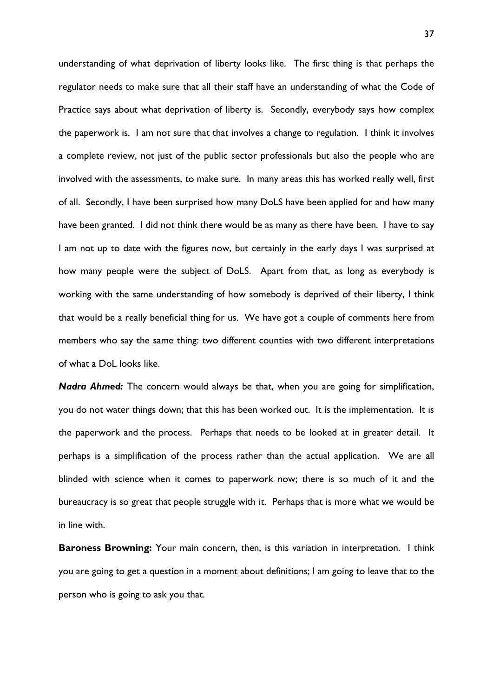understanding of what deprivation of liberty looks like. The first thing is that perhaps the regulator needs to make sure that all their staff have an understanding of what the Code of Practice says about what deprivation of liberty is. Secondly, everybody says how complex the paperwork is. I am not sure that that involves a change to regulation. I think it involves a complete review, not just of the public sector professionals but also the people who are involved with the assessments, to make sure. In many areas this has worked really well, first of all. Secondly, I have been surprised how many DoLS have been applied for and how many have been granted. I did not think there would be as many as there have been. I have to say I am not up to date with the figures now, but certainly in the early days I was surprised at how many people were the subject of DoLS. Apart from that, as long as everybody is working with the same understanding of how somebody is deprived of their liberty, I think that would be a really beneficial thing for us. We have got a couple of comments here from members who say the same thing: two different counties with two different interpretations of what a DoL looks like.

*Nadra Ahmed:* The concern would always be that, when you are going for simplification, you do not water things down; that this has been worked out. It is the implementation. It is the paperwork and the process. Perhaps that needs to be looked at in greater detail. It perhaps is a simplification of the process rather than the actual application. We are all blinded with science when it comes to paperwork now; there is so much of it and the bureaucracy is so great that people struggle with it. Perhaps that is more what we would be in line with.

**Baroness Browning:** Your main concern, then, is this variation in interpretation. I think you are going to get a question in a moment about definitions; l am going to leave that to the person who is going to ask you that.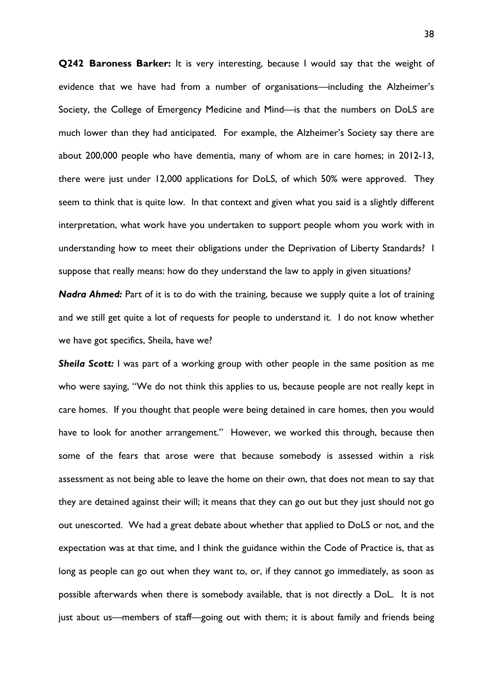**Q242 Baroness Barker:** It is very interesting, because I would say that the weight of evidence that we have had from a number of organisations—including the Alzheimer's Society, the College of Emergency Medicine and Mind—is that the numbers on DoLS are much lower than they had anticipated. For example, the Alzheimer's Society say there are about 200,000 people who have dementia, many of whom are in care homes; in 2012-13, there were just under 12,000 applications for DoLS, of which 50% were approved. They seem to think that is quite low. In that context and given what you said is a slightly different interpretation, what work have you undertaken to support people whom you work with in understanding how to meet their obligations under the Deprivation of Liberty Standards? I suppose that really means: how do they understand the law to apply in given situations?

*Nadra Ahmed:* Part of it is to do with the training, because we supply quite a lot of training and we still get quite a lot of requests for people to understand it. I do not know whether we have got specifics, Sheila, have we?

*Sheila Scott:* I was part of a working group with other people in the same position as me who were saying, "We do not think this applies to us, because people are not really kept in care homes. If you thought that people were being detained in care homes, then you would have to look for another arrangement." However, we worked this through, because then some of the fears that arose were that because somebody is assessed within a risk assessment as not being able to leave the home on their own, that does not mean to say that they are detained against their will; it means that they can go out but they just should not go out unescorted. We had a great debate about whether that applied to DoLS or not, and the expectation was at that time, and I think the guidance within the Code of Practice is, that as long as people can go out when they want to, or, if they cannot go immediately, as soon as possible afterwards when there is somebody available, that is not directly a DoL. It is not just about us—members of staff—going out with them; it is about family and friends being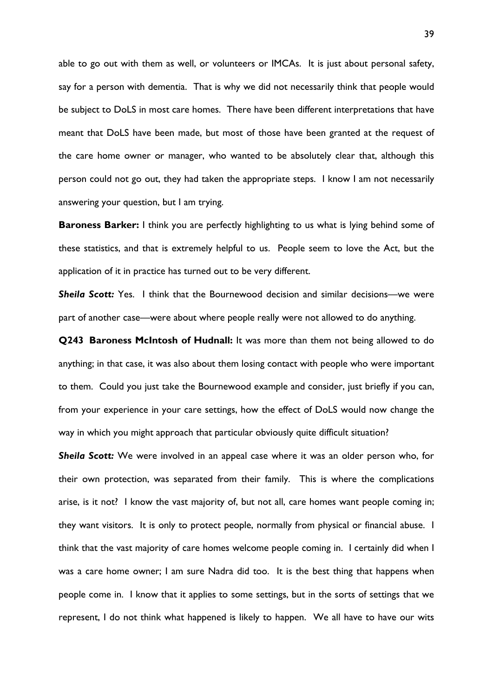able to go out with them as well, or volunteers or IMCAs. It is just about personal safety, say for a person with dementia. That is why we did not necessarily think that people would be subject to DoLS in most care homes. There have been different interpretations that have meant that DoLS have been made, but most of those have been granted at the request of the care home owner or manager, who wanted to be absolutely clear that, although this person could not go out, they had taken the appropriate steps. I know I am not necessarily answering your question, but I am trying.

**Baroness Barker:** I think you are perfectly highlighting to us what is lying behind some of these statistics, and that is extremely helpful to us. People seem to love the Act, but the application of it in practice has turned out to be very different.

*Sheila Scott:* Yes. I think that the Bournewood decision and similar decisions—we were part of another case—were about where people really were not allowed to do anything.

**Q243 Baroness McIntosh of Hudnall:** It was more than them not being allowed to do anything; in that case, it was also about them losing contact with people who were important to them. Could you just take the Bournewood example and consider, just briefly if you can, from your experience in your care settings, how the effect of DoLS would now change the way in which you might approach that particular obviously quite difficult situation?

*Sheila Scott:* We were involved in an appeal case where it was an older person who, for their own protection, was separated from their family. This is where the complications arise, is it not? I know the vast majority of, but not all, care homes want people coming in; they want visitors. It is only to protect people, normally from physical or financial abuse. I think that the vast majority of care homes welcome people coming in. I certainly did when I was a care home owner; I am sure Nadra did too. It is the best thing that happens when people come in. I know that it applies to some settings, but in the sorts of settings that we represent, I do not think what happened is likely to happen. We all have to have our wits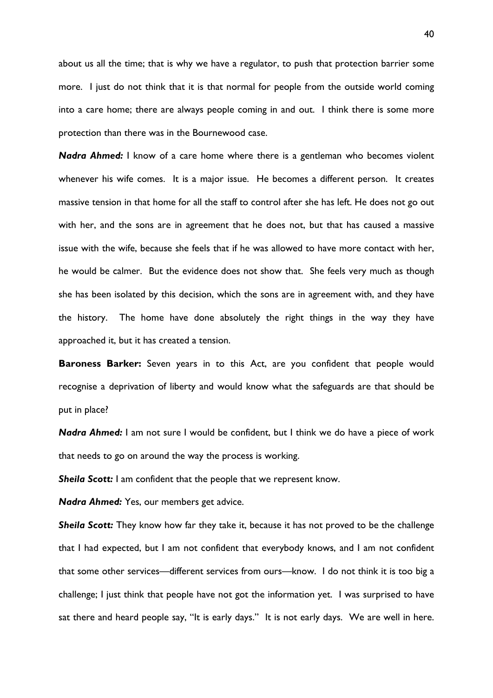about us all the time; that is why we have a regulator, to push that protection barrier some more. I just do not think that it is that normal for people from the outside world coming into a care home; there are always people coming in and out. I think there is some more protection than there was in the Bournewood case.

*Nadra Ahmed:* I know of a care home where there is a gentleman who becomes violent whenever his wife comes. It is a major issue. He becomes a different person. It creates massive tension in that home for all the staff to control after she has left. He does not go out with her, and the sons are in agreement that he does not, but that has caused a massive issue with the wife, because she feels that if he was allowed to have more contact with her, he would be calmer. But the evidence does not show that. She feels very much as though she has been isolated by this decision, which the sons are in agreement with, and they have the history. The home have done absolutely the right things in the way they have approached it, but it has created a tension.

**Baroness Barker:** Seven years in to this Act, are you confident that people would recognise a deprivation of liberty and would know what the safeguards are that should be put in place?

*Nadra Ahmed:* I am not sure I would be confident, but I think we do have a piece of work that needs to go on around the way the process is working.

**Sheila Scott:** I am confident that the people that we represent know.

*Nadra Ahmed:* Yes, our members get advice.

*Sheila Scott:* They know how far they take it, because it has not proved to be the challenge that I had expected, but I am not confident that everybody knows, and I am not confident that some other services—different services from ours—know. I do not think it is too big a challenge; I just think that people have not got the information yet. I was surprised to have sat there and heard people say, "It is early days." It is not early days. We are well in here.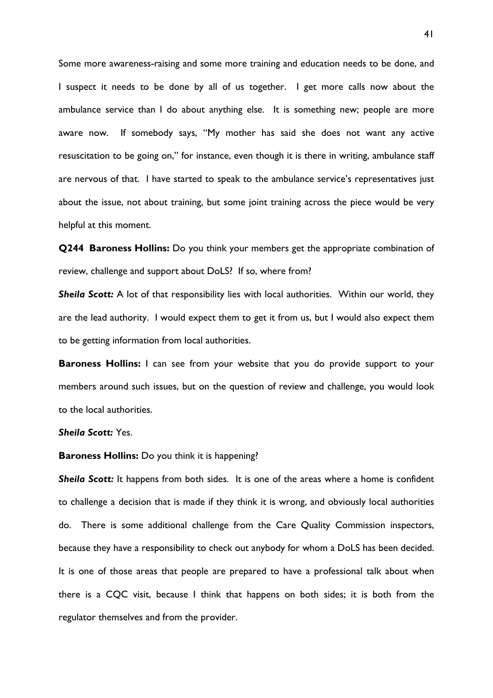Some more awareness-raising and some more training and education needs to be done, and I suspect it needs to be done by all of us together. I get more calls now about the ambulance service than I do about anything else. It is something new; people are more aware now. If somebody says, "My mother has said she does not want any active resuscitation to be going on," for instance, even though it is there in writing, ambulance staff are nervous of that. I have started to speak to the ambulance service's representatives just about the issue, not about training, but some joint training across the piece would be very helpful at this moment.

**Q244 Baroness Hollins:** Do you think your members get the appropriate combination of review, challenge and support about DoLS? If so, where from?

*Sheila Scott:* A lot of that responsibility lies with local authorities. Within our world, they are the lead authority. I would expect them to get it from us, but I would also expect them to be getting information from local authorities.

**Baroness Hollins:** I can see from your website that you do provide support to your members around such issues, but on the question of review and challenge, you would look to the local authorities.

### *Sheila Scott:* Yes.

#### **Baroness Hollins:** Do you think it is happening?

**Sheila Scott:** It happens from both sides. It is one of the areas where a home is confident to challenge a decision that is made if they think it is wrong, and obviously local authorities do. There is some additional challenge from the Care Quality Commission inspectors, because they have a responsibility to check out anybody for whom a DoLS has been decided. It is one of those areas that people are prepared to have a professional talk about when there is a CQC visit, because I think that happens on both sides; it is both from the regulator themselves and from the provider.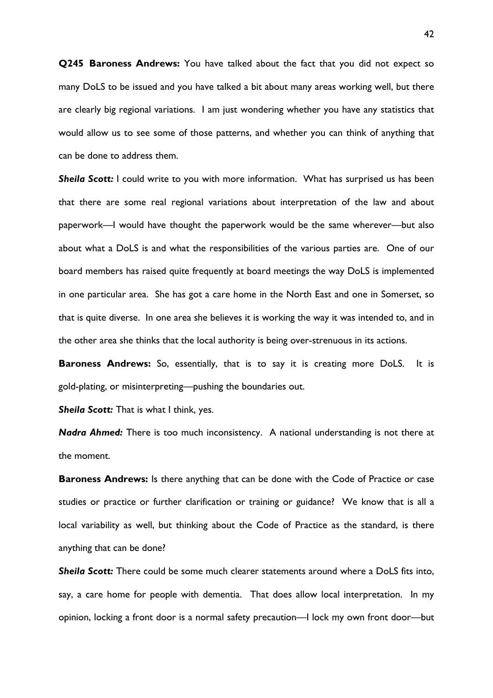**Q245 Baroness Andrews:** You have talked about the fact that you did not expect so many DoLS to be issued and you have talked a bit about many areas working well, but there are clearly big regional variations. I am just wondering whether you have any statistics that would allow us to see some of those patterns, and whether you can think of anything that can be done to address them.

**Sheila Scott:** I could write to you with more information. What has surprised us has been that there are some real regional variations about interpretation of the law and about paperwork—I would have thought the paperwork would be the same wherever—but also about what a DoLS is and what the responsibilities of the various parties are. One of our board members has raised quite frequently at board meetings the way DoLS is implemented in one particular area. She has got a care home in the North East and one in Somerset, so that is quite diverse. In one area she believes it is working the way it was intended to, and in the other area she thinks that the local authority is being over-strenuous in its actions.

**Baroness Andrews:** So, essentially, that is to say it is creating more DoLS. It is gold-plating, or misinterpreting—pushing the boundaries out.

**Sheila Scott:** That is what I think, yes.

*Nadra Ahmed:* There is too much inconsistency. A national understanding is not there at the moment.

**Baroness Andrews:** Is there anything that can be done with the Code of Practice or case studies or practice or further clarification or training or guidance? We know that is all a local variability as well, but thinking about the Code of Practice as the standard, is there anything that can be done?

*Sheila Scott:* There could be some much clearer statements around where a DoLS fits into, say, a care home for people with dementia. That does allow local interpretation. In my opinion, locking a front door is a normal safety precaution—I lock my own front door—but